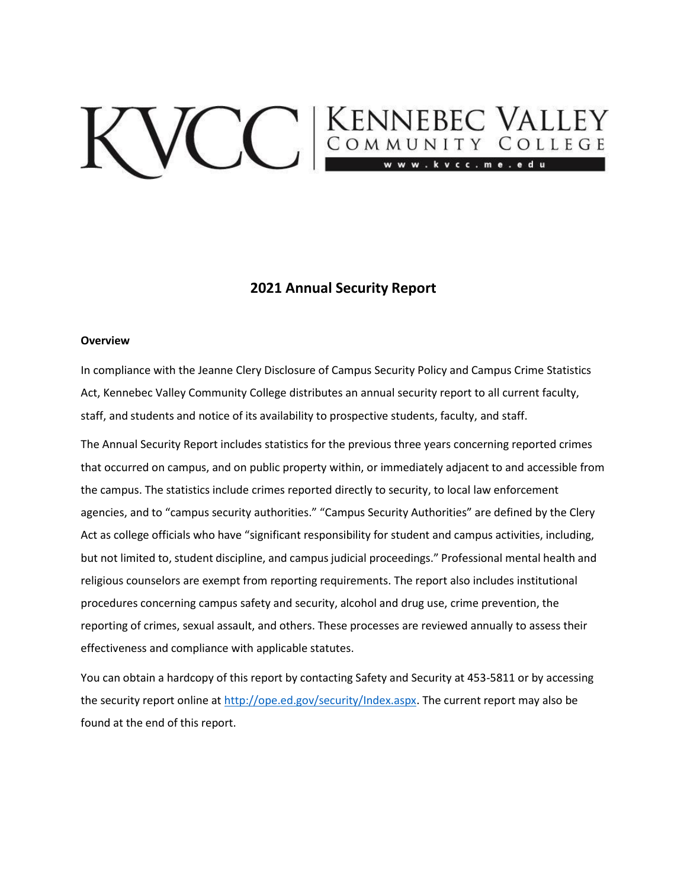# VCC ENNEBEC VALLEY

# **2021 Annual Security Report**

#### **Overview**

In compliance with the Jeanne Clery Disclosure of Campus Security Policy and Campus Crime Statistics Act, Kennebec Valley Community College distributes an annual security report to all current faculty, staff, and students and notice of its availability to prospective students, faculty, and staff.

The Annual Security Report includes statistics for the previous three years concerning reported crimes that occurred on campus, and on public property within, or immediately adjacent to and accessible from the campus. The statistics include crimes reported directly to security, to local law enforcement agencies, and to "campus security authorities." "Campus Security Authorities" are defined by the Clery Act as college officials who have "significant responsibility for student and campus activities, including, but not limited to, student discipline, and campus judicial proceedings." Professional mental health and religious counselors are exempt from reporting requirements. The report also includes institutional procedures concerning campus safety and security, alcohol and drug use, crime prevention, the reporting of crimes, sexual assault, and others. These processes are reviewed annually to assess their effectiveness and compliance with applicable statutes.

You can obtain a hardcopy of this report by contacting Safety and Security at 453-5811 or by accessing the security report online at [http://ope.ed.gov/security/Index.aspx. T](http://ope.ed.gov/security/Index.aspx)he current report may also be found at the end of this report.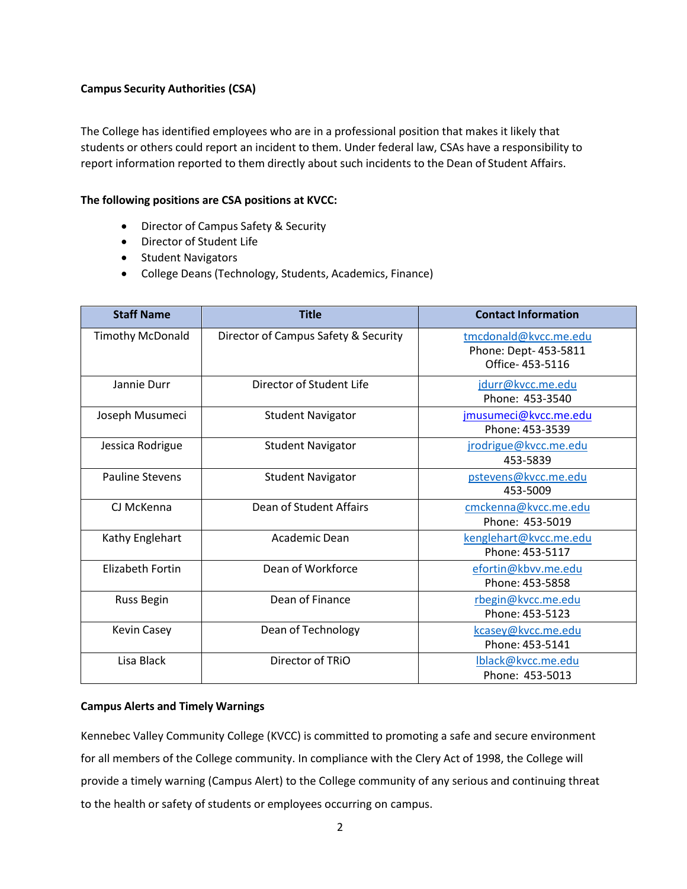## **Campus Security Authorities (CSA)**

The College has identified employees who are in a professional position that makes it likely that students or others could report an incident to them. Under federal law, CSAs have a responsibility to report information reported to them directly about such incidents to the Dean of Student Affairs.

## **The following positions are CSA positions at KVCC:**

- Director of Campus Safety & Security
- Director of Student Life
- Student Navigators
- College Deans (Technology, Students, Academics, Finance)

| <b>Staff Name</b>       | <b>Title</b>                         | <b>Contact Information</b>                                        |
|-------------------------|--------------------------------------|-------------------------------------------------------------------|
| <b>Timothy McDonald</b> | Director of Campus Safety & Security | tmcdonald@kvcc.me.edu<br>Phone: Dept- 453-5811<br>Office-453-5116 |
| Jannie Durr             | Director of Student Life             | jdurr@kvcc.me.edu<br>Phone: 453-3540                              |
| Joseph Musumeci         | <b>Student Navigator</b>             | jmusumeci@kvcc.me.edu<br>Phone: 453-3539                          |
| Jessica Rodrigue        | <b>Student Navigator</b>             | jrodrigue@kvcc.me.edu<br>453-5839                                 |
| <b>Pauline Stevens</b>  | <b>Student Navigator</b>             | pstevens@kvcc.me.edu<br>453-5009                                  |
| CJ McKenna              | Dean of Student Affairs              | cmckenna@kvcc.me.edu<br>Phone: 453-5019                           |
| Kathy Englehart         | Academic Dean                        | kenglehart@kvcc.me.edu<br>Phone: 453-5117                         |
| <b>Elizabeth Fortin</b> | Dean of Workforce                    | efortin@kbvv.me.edu<br>Phone: 453-5858                            |
| Russ Begin              | Dean of Finance                      | rbegin@kvcc.me.edu<br>Phone: 453-5123                             |
| Kevin Casey             | Dean of Technology                   | kcasey@kvcc.me.edu<br>Phone: 453-5141                             |
| Lisa Black              | Director of TRIO                     | Iblack@kvcc.me.edu<br>Phone: 453-5013                             |

## **Campus Alerts and Timely Warnings**

Kennebec Valley Community College (KVCC) is committed to promoting a safe and secure environment for all members of the College community. In compliance with the Clery Act of 1998, the College will provide a timely warning (Campus Alert) to the College community of any serious and continuing threat to the health or safety of students or employees occurring on campus.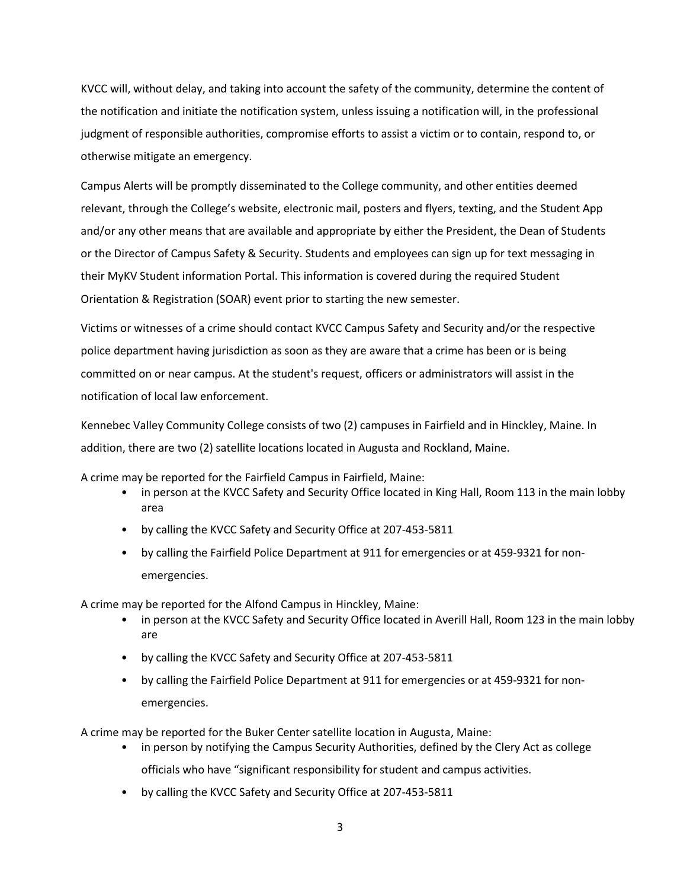KVCC will, without delay, and taking into account the safety of the community, determine the content of the notification and initiate the notification system, unless issuing a notification will, in the professional judgment of responsible authorities, compromise efforts to assist a victim or to contain, respond to, or otherwise mitigate an emergency.

Campus Alerts will be promptly disseminated to the College community, and other entities deemed relevant, through the College's website, electronic mail, posters and flyers, texting, and the Student App and/or any other means that are available and appropriate by either the President, the Dean of Students or the Director of Campus Safety & Security. Students and employees can sign up for text messaging in their MyKV Student information Portal. This information is covered during the required Student Orientation & Registration (SOAR) event prior to starting the new semester.

Victims or witnesses of a crime should contact KVCC Campus Safety and Security and/or the respective police department having jurisdiction as soon as they are aware that a crime has been or is being committed on or near campus. At the student's request, officers or administrators will assist in the notification of local law enforcement.

Kennebec Valley Community College consists of two (2) campuses in Fairfield and in Hinckley, Maine. In addition, there are two (2) satellite locations located in Augusta and Rockland, Maine.

A crime may be reported for the Fairfield Campus in Fairfield, Maine:

- in person at the KVCC Safety and Security Office located in King Hall, Room 113 in the main lobby area
- by calling the KVCC Safety and Security Office at 207-453-5811
- by calling the Fairfield Police Department at 911 for emergencies or at 459-9321 for nonemergencies.

A crime may be reported for the Alfond Campus in Hinckley, Maine:

- in person at the KVCC Safety and Security Office located in Averill Hall, Room 123 in the main lobby are
- by calling the KVCC Safety and Security Office at 207-453-5811
- by calling the Fairfield Police Department at 911 for emergencies or at 459-9321 for nonemergencies.

A crime may be reported for the Buker Center satellite location in Augusta, Maine:

- in person by notifying the Campus Security Authorities, defined by the Clery Act as college officials who have "significant responsibility for student and campus activities.
- by calling the KVCC Safety and Security Office at 207-453-5811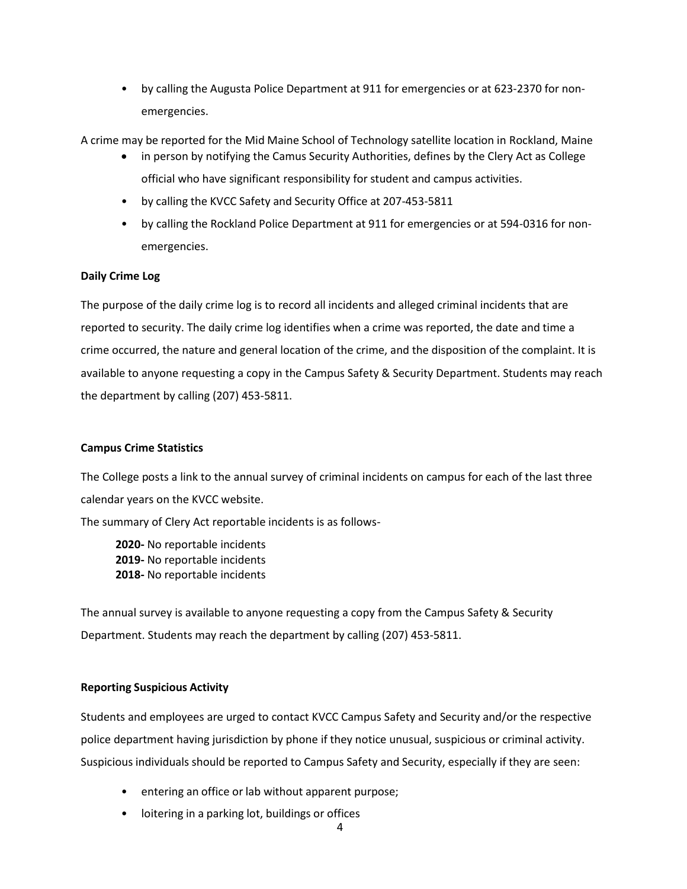• by calling the Augusta Police Department at 911 for emergencies or at 623-2370 for nonemergencies.

A crime may be reported for the Mid Maine School of Technology satellite location in Rockland, Maine

- in person by notifying the Camus Security Authorities, defines by the Clery Act as College official who have significant responsibility for student and campus activities.
- by calling the KVCC Safety and Security Office at 207-453-5811
- by calling the Rockland Police Department at 911 for emergencies or at 594-0316 for nonemergencies.

## **Daily Crime Log**

The purpose of the daily crime log is to record all incidents and alleged criminal incidents that are reported to security. The daily crime log identifies when a crime was reported, the date and time a crime occurred, the nature and general location of the crime, and the disposition of the complaint. It is available to anyone requesting a copy in the Campus Safety & Security Department. Students may reach the department by calling (207) 453-5811.

## **Campus Crime Statistics**

The College posts a link to the annual survey of criminal incidents on campus for each of the last three calendar years on the KVCC website.

The summary of Clery Act reportable incidents is as follows-

**2020-** No reportable incidents **2019-** No reportable incidents **2018-** No reportable incidents

The annual survey is available to anyone requesting a copy from the Campus Safety & Security Department. Students may reach the department by calling (207) 453-5811.

## **Reporting Suspicious Activity**

Students and employees are urged to contact KVCC Campus Safety and Security and/or the respective police department having jurisdiction by phone if they notice unusual, suspicious or criminal activity. Suspicious individuals should be reported to Campus Safety and Security, especially if they are seen:

- entering an office or lab without apparent purpose;
- loitering in a parking lot, buildings or offices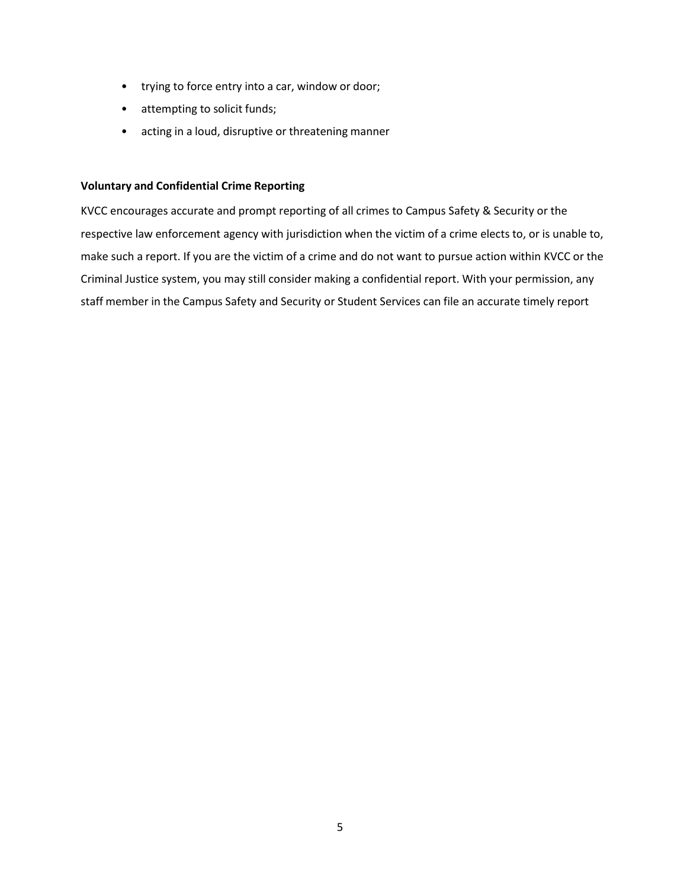- trying to force entry into a car, window or door;
- attempting to solicit funds;
- acting in a loud, disruptive or threatening manner

## **Voluntary and Confidential Crime Reporting**

KVCC encourages accurate and prompt reporting of all crimes to Campus Safety & Security or the respective law enforcement agency with jurisdiction when the victim of a crime elects to, or is unable to, make such a report. If you are the victim of a crime and do not want to pursue action within KVCC or the Criminal Justice system, you may still consider making a confidential report. With your permission, any staff member in the Campus Safety and Security or Student Services can file an accurate timely report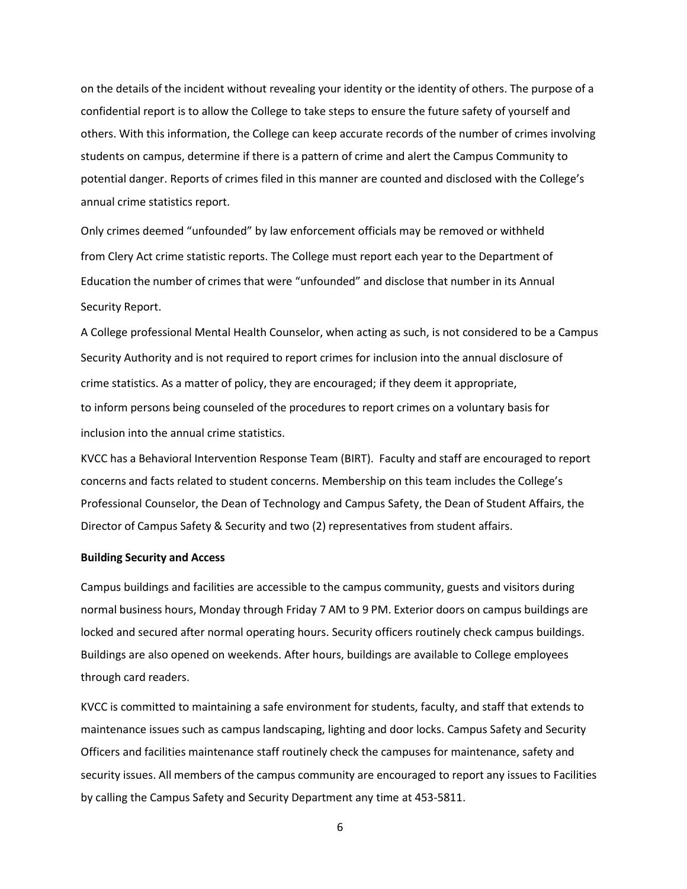on the details of the incident without revealing your identity or the identity of others. The purpose of a confidential report is to allow the College to take steps to ensure the future safety of yourself and others. With this information, the College can keep accurate records of the number of crimes involving students on campus, determine if there is a pattern of crime and alert the Campus Community to potential danger. Reports of crimes filed in this manner are counted and disclosed with the College's annual crime statistics report.

Only crimes deemed "unfounded" by law enforcement officials may be removed or withheld from Clery Act crime statistic reports. The College must report each year to the Department of Education the number of crimes that were "unfounded" and disclose that number in its Annual Security Report.

A College professional Mental Health Counselor, when acting as such, is not considered to be a Campus Security Authority and is not required to report crimes for inclusion into the annual disclosure of crime statistics. As a matter of policy, they are encouraged; if they deem it appropriate, to inform persons being counseled of the procedures to report crimes on a voluntary basis for inclusion into the annual crime statistics.

KVCC has a Behavioral Intervention Response Team (BIRT). Faculty and staff are encouraged to report concerns and facts related to student concerns. Membership on this team includes the College's Professional Counselor, the Dean of Technology and Campus Safety, the Dean of Student Affairs, the Director of Campus Safety & Security and two (2) representatives from student affairs.

#### **Building Security and Access**

Campus buildings and facilities are accessible to the campus community, guests and visitors during normal business hours, Monday through Friday 7 AM to 9 PM. Exterior doors on campus buildings are locked and secured after normal operating hours. Security officers routinely check campus buildings. Buildings are also opened on weekends. After hours, buildings are available to College employees through card readers.

KVCC is committed to maintaining a safe environment for students, faculty, and staff that extends to maintenance issues such as campus landscaping, lighting and door locks. Campus Safety and Security Officers and facilities maintenance staff routinely check the campuses for maintenance, safety and security issues. All members of the campus community are encouraged to report any issues to Facilities by calling the Campus Safety and Security Department any time at 453-5811.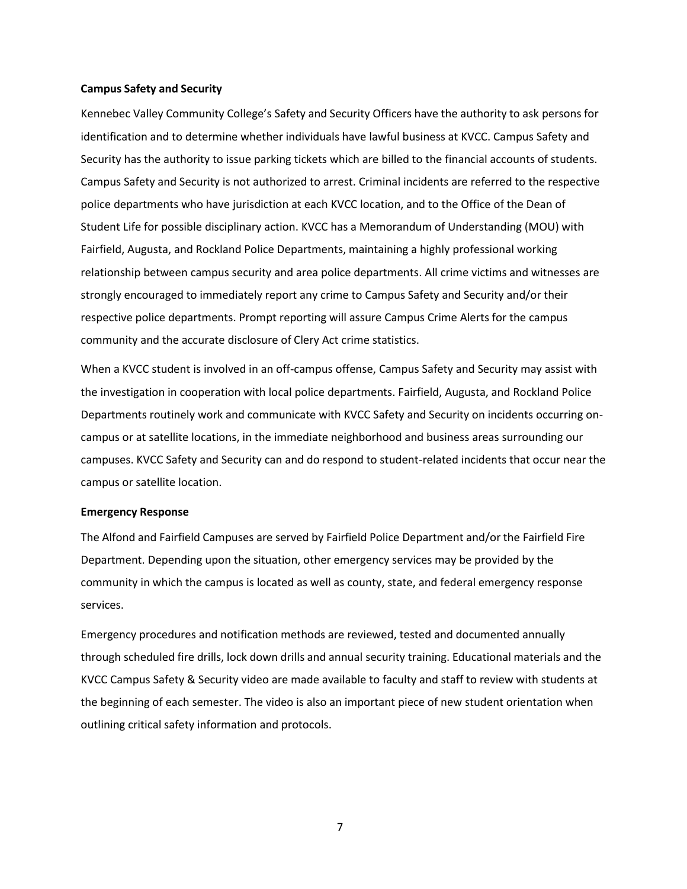#### **Campus Safety and Security**

Kennebec Valley Community College's Safety and Security Officers have the authority to ask persons for identification and to determine whether individuals have lawful business at KVCC. Campus Safety and Security has the authority to issue parking tickets which are billed to the financial accounts of students. Campus Safety and Security is not authorized to arrest. Criminal incidents are referred to the respective police departments who have jurisdiction at each KVCC location, and to the Office of the Dean of Student Life for possible disciplinary action. KVCC has a Memorandum of Understanding (MOU) with Fairfield, Augusta, and Rockland Police Departments, maintaining a highly professional working relationship between campus security and area police departments. All crime victims and witnesses are strongly encouraged to immediately report any crime to Campus Safety and Security and/or their respective police departments. Prompt reporting will assure Campus Crime Alerts for the campus community and the accurate disclosure of Clery Act crime statistics.

When a KVCC student is involved in an off-campus offense, Campus Safety and Security may assist with the investigation in cooperation with local police departments. Fairfield, Augusta, and Rockland Police Departments routinely work and communicate with KVCC Safety and Security on incidents occurring oncampus or at satellite locations, in the immediate neighborhood and business areas surrounding our campuses. KVCC Safety and Security can and do respond to student-related incidents that occur near the campus or satellite location.

#### **Emergency Response**

The Alfond and Fairfield Campuses are served by Fairfield Police Department and/or the Fairfield Fire Department. Depending upon the situation, other emergency services may be provided by the community in which the campus is located as well as county, state, and federal emergency response services.

Emergency procedures and notification methods are reviewed, tested and documented annually through scheduled fire drills, lock down drills and annual security training. Educational materials and the KVCC Campus Safety & Security video are made available to faculty and staff to review with students at the beginning of each semester. The video is also an important piece of new student orientation when outlining critical safety information and protocols.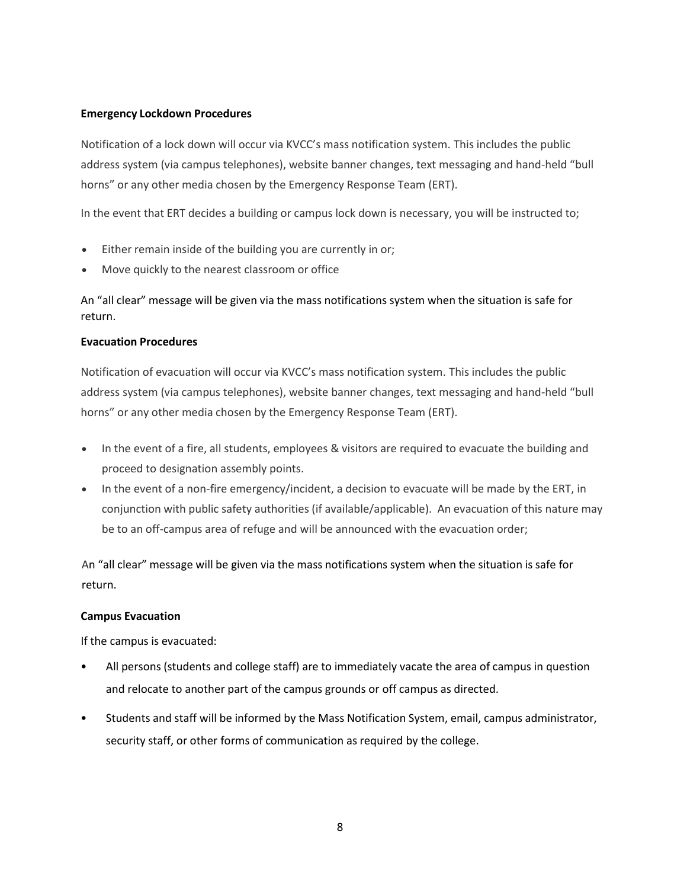## **Emergency Lockdown Procedures**

Notification of a lock down will occur via KVCC's mass notification system. This includes the public address system (via campus telephones), website banner changes, text messaging and hand-held "bull horns" or any other media chosen by the Emergency Response Team (ERT).

In the event that ERT decides a building or campus lock down is necessary, you will be instructed to;

- Either remain inside of the building you are currently in or;
- Move quickly to the nearest classroom or office

An "all clear" message will be given via the mass notifications system when the situation is safe for return.

## **Evacuation Procedures**

Notification of evacuation will occur via KVCC's mass notification system. This includes the public address system (via campus telephones), website banner changes, text messaging and hand-held "bull horns" or any other media chosen by the Emergency Response Team (ERT).

- In the event of a fire, all students, employees & visitors are required to evacuate the building and proceed to designation assembly points.
- In the event of a non-fire emergency/incident, a decision to evacuate will be made by the ERT, in conjunction with public safety authorities (if available/applicable). An evacuation of this nature may be to an off-campus area of refuge and will be announced with the evacuation order;

An "all clear" message will be given via the mass notifications system when the situation is safe for return.

## **Campus Evacuation**

If the campus is evacuated:

- All persons (students and college staff) are to immediately vacate the area of campus in question and relocate to another part of the campus grounds or off campus as directed.
- Students and staff will be informed by the Mass Notification System, email, campus administrator, security staff, or other forms of communication as required by the college.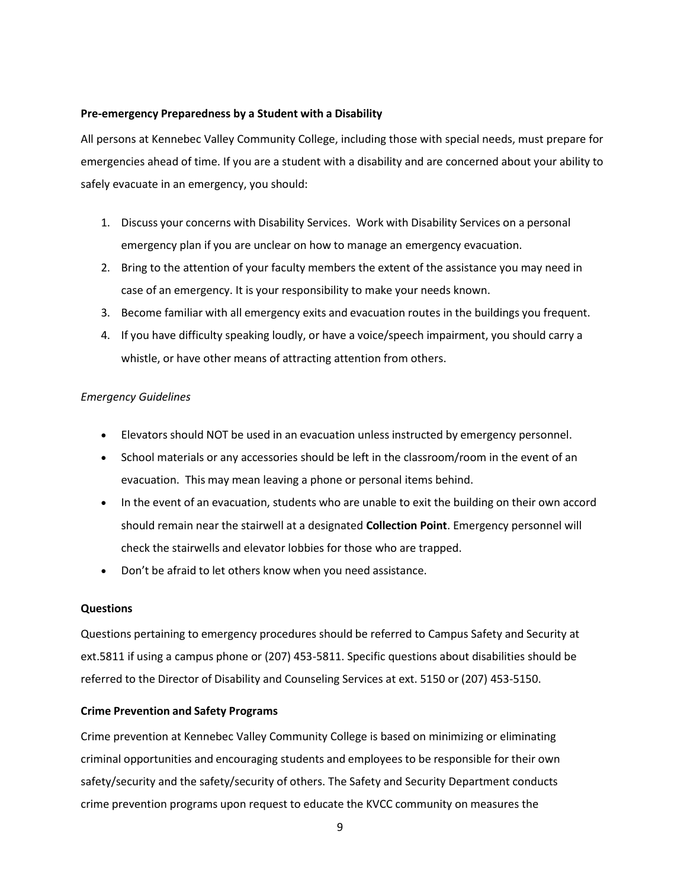### **Pre-emergency Preparedness by a Student with a Disability**

All persons at Kennebec Valley Community College, including those with special needs, must prepare for emergencies ahead of time. If you are a student with a disability and are concerned about your ability to safely evacuate in an emergency, you should:

- 1. Discuss your concerns with Disability Services. Work with Disability Services on a personal emergency plan if you are unclear on how to manage an emergency evacuation.
- 2. Bring to the attention of your faculty members the extent of the assistance you may need in case of an emergency. It is your responsibility to make your needs known.
- 3. Become familiar with all emergency exits and evacuation routes in the buildings you frequent.
- 4. If you have difficulty speaking loudly, or have a voice/speech impairment, you should carry a whistle, or have other means of attracting attention from others.

## *Emergency Guidelines*

- Elevators should NOT be used in an evacuation unless instructed by emergency personnel.
- School materials or any accessories should be left in the classroom/room in the event of an evacuation. This may mean leaving a phone or personal items behind.
- In the event of an evacuation, students who are unable to exit the building on their own accord should remain near the stairwell at a designated **Collection Point**. Emergency personnel will check the stairwells and elevator lobbies for those who are trapped.
- Don't be afraid to let others know when you need assistance.

## **Questions**

Questions pertaining to emergency procedures should be referred to Campus Safety and Security at ext.5811 if using a campus phone or (207) 453-5811. Specific questions about disabilities should be referred to the Director of Disability and Counseling Services at ext. 5150 or (207) 453-5150.

## **Crime Prevention and Safety Programs**

Crime prevention at Kennebec Valley Community College is based on minimizing or eliminating criminal opportunities and encouraging students and employees to be responsible for their own safety/security and the safety/security of others. The Safety and Security Department conducts crime prevention programs upon request to educate the KVCC community on measures the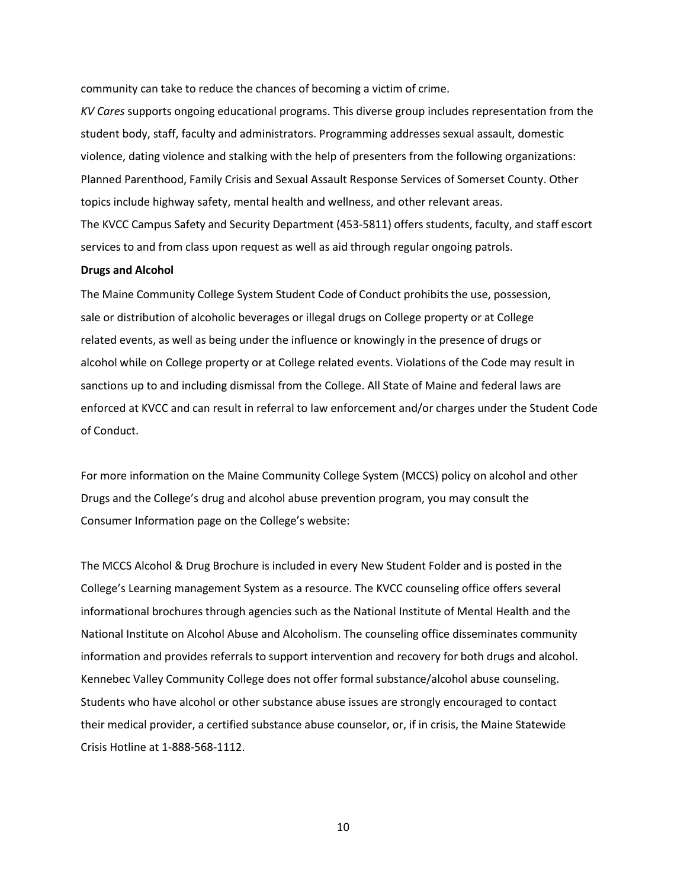community can take to reduce the chances of becoming a victim of crime.

*KV Cares* supports ongoing educational programs. This diverse group includes representation from the student body, staff, faculty and administrators. Programming addresses sexual assault, domestic violence, dating violence and stalking with the help of presenters from the following organizations: Planned Parenthood, Family Crisis and Sexual Assault Response Services of Somerset County. Other topics include highway safety, mental health and wellness, and other relevant areas. The KVCC Campus Safety and Security Department (453-5811) offers students, faculty, and staff escort services to and from class upon request as well as aid through regular ongoing patrols.

#### **Drugs and Alcohol**

The Maine Community College System Student Code of Conduct prohibits the use, possession, sale or distribution of alcoholic beverages or illegal drugs on College property or at College related events, as well as being under the influence or knowingly in the presence of drugs or alcohol while on College property or at College related events. Violations of the Code may result in sanctions up to and including dismissal from the College. All State of Maine and federal laws are enforced at KVCC and can result in referral to law enforcement and/or charges under the Student Code of Conduct.

For more information on the Maine Community College System (MCCS) policy on alcohol and other Drugs and the College's drug and alcohol abuse prevention program, you may consult the Consumer Information page on the College's website:

The MCCS Alcohol & Drug Brochure is included in every New Student Folder and is posted in the College's Learning management System as a resource. The KVCC counseling office offers several informational brochures through agencies such as the National Institute of Mental Health and the National Institute on Alcohol Abuse and Alcoholism. The counseling office disseminates community information and provides referrals to support intervention and recovery for both drugs and alcohol. Kennebec Valley Community College does not offer formal substance/alcohol abuse counseling. Students who have alcohol or other substance abuse issues are strongly encouraged to contact their medical provider, a certified substance abuse counselor, or, if in crisis, the Maine Statewide Crisis Hotline at 1-888-568-1112.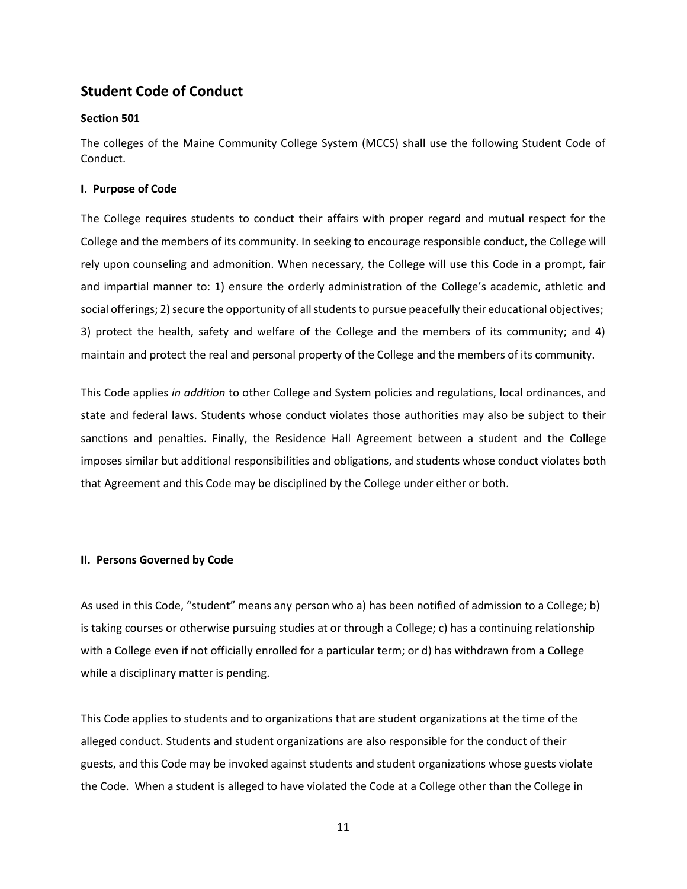# **Student Code of Conduct**

## **Section 501**

The colleges of the Maine Community College System (MCCS) shall use the following Student Code of Conduct.

## **I. Purpose of Code**

The College requires students to conduct their affairs with proper regard and mutual respect for the College and the members of its community. In seeking to encourage responsible conduct, the College will rely upon counseling and admonition. When necessary, the College will use this Code in a prompt, fair and impartial manner to: 1) ensure the orderly administration of the College's academic, athletic and social offerings; 2) secure the opportunity of all students to pursue peacefully their educational objectives; 3) protect the health, safety and welfare of the College and the members of its community; and 4) maintain and protect the real and personal property of the College and the members of its community.

This Code applies *in addition* to other College and System policies and regulations, local ordinances, and state and federal laws. Students whose conduct violates those authorities may also be subject to their sanctions and penalties. Finally, the Residence Hall Agreement between a student and the College imposes similar but additional responsibilities and obligations, and students whose conduct violates both that Agreement and this Code may be disciplined by the College under either or both.

### **II. Persons Governed by Code**

As used in this Code, "student" means any person who a) has been notified of admission to a College; b) is taking courses or otherwise pursuing studies at or through a College; c) has a continuing relationship with a College even if not officially enrolled for a particular term; or d) has withdrawn from a College while a disciplinary matter is pending.

This Code applies to students and to organizations that are student organizations at the time of the alleged conduct. Students and student organizations are also responsible for the conduct of their guests, and this Code may be invoked against students and student organizations whose guests violate the Code. When a student is alleged to have violated the Code at a College other than the College in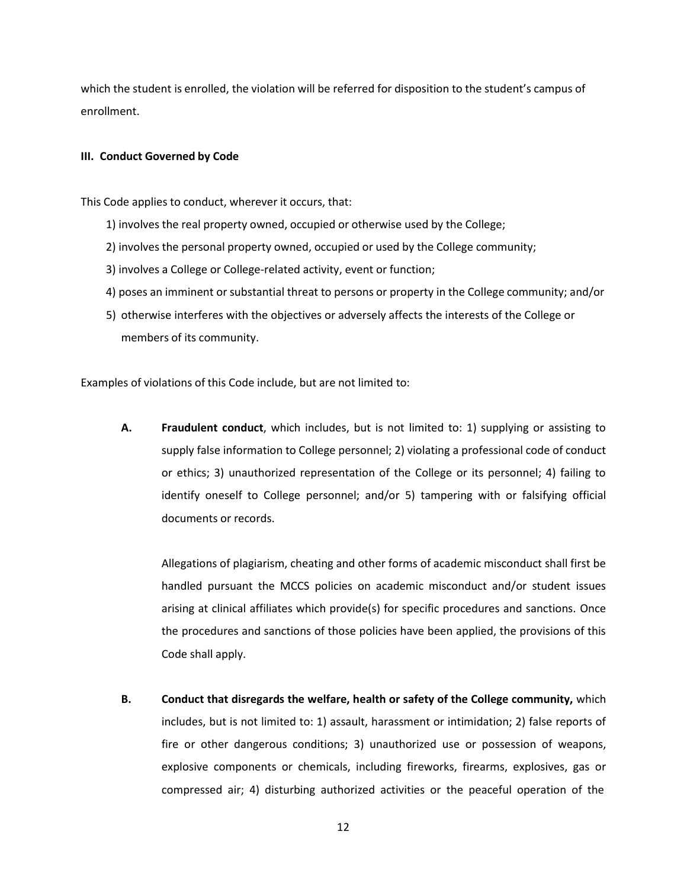which the student is enrolled, the violation will be referred for disposition to the student's campus of enrollment.

## **III. Conduct Governed by Code**

This Code applies to conduct, wherever it occurs, that:

- 1) involves the real property owned, occupied or otherwise used by the College;
- 2) involves the personal property owned, occupied or used by the College community;
- 3) involves a College or College-related activity, event or function;
- 4) poses an imminent or substantial threat to persons or property in the College community; and/or
- 5) otherwise interferes with the objectives or adversely affects the interests of the College or members of its community.

Examples of violations of this Code include, but are not limited to:

**A. Fraudulent conduct**, which includes, but is not limited to: 1) supplying or assisting to supply false information to College personnel; 2) violating a professional code of conduct or ethics; 3) unauthorized representation of the College or its personnel; 4) failing to identify oneself to College personnel; and/or 5) tampering with or falsifying official documents or records.

Allegations of plagiarism, cheating and other forms of academic misconduct shall first be handled pursuant the MCCS policies on academic misconduct and/or student issues arising at clinical affiliates which provide(s) for specific procedures and sanctions. Once the procedures and sanctions of those policies have been applied, the provisions of this Code shall apply.

**B. Conduct that disregards the welfare, health or safety of the College community,** which includes, but is not limited to: 1) assault, harassment or intimidation; 2) false reports of fire or other dangerous conditions; 3) unauthorized use or possession of weapons, explosive components or chemicals, including fireworks, firearms, explosives, gas or compressed air; 4) disturbing authorized activities or the peaceful operation of the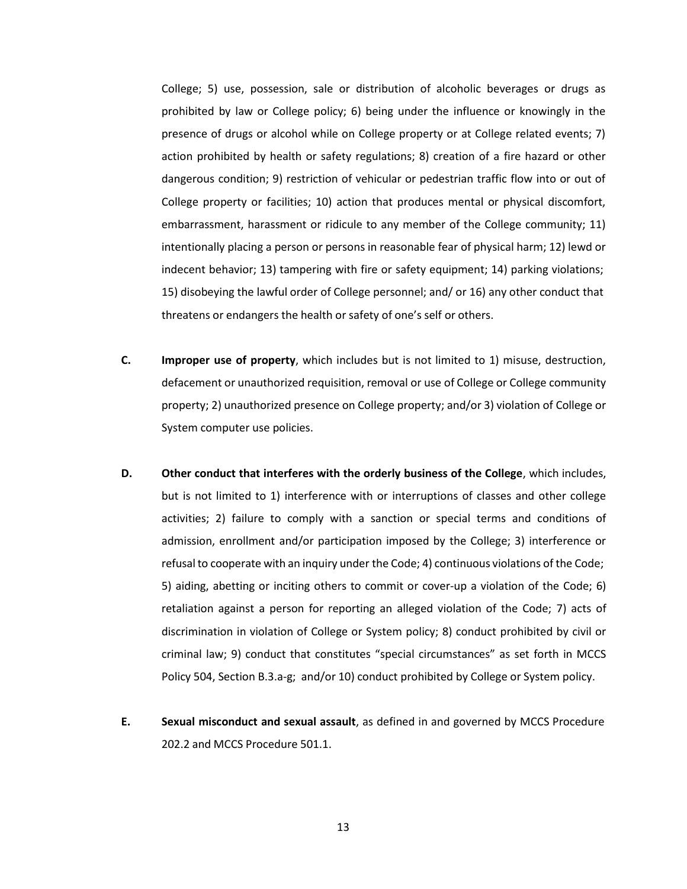College; 5) use, possession, sale or distribution of alcoholic beverages or drugs as prohibited by law or College policy; 6) being under the influence or knowingly in the presence of drugs or alcohol while on College property or at College related events; 7) action prohibited by health or safety regulations; 8) creation of a fire hazard or other dangerous condition; 9) restriction of vehicular or pedestrian traffic flow into or out of College property or facilities; 10) action that produces mental or physical discomfort, embarrassment, harassment or ridicule to any member of the College community; 11) intentionally placing a person or persons in reasonable fear of physical harm; 12) lewd or indecent behavior; 13) tampering with fire or safety equipment; 14) parking violations; 15) disobeying the lawful order of College personnel; and/ or 16) any other conduct that threatens or endangers the health or safety of one's self or others.

- **C. Improper use of property**, which includes but is not limited to 1) misuse, destruction, defacement or unauthorized requisition, removal or use of College or College community property; 2) unauthorized presence on College property; and/or 3) violation of College or System computer use policies.
- **D. Other conduct that interferes with the orderly business of the College**, which includes, but is not limited to 1) interference with or interruptions of classes and other college activities; 2) failure to comply with a sanction or special terms and conditions of admission, enrollment and/or participation imposed by the College; 3) interference or refusal to cooperate with an inquiry under the Code; 4) continuous violations of the Code; 5) aiding, abetting or inciting others to commit or cover-up a violation of the Code; 6) retaliation against a person for reporting an alleged violation of the Code; 7) acts of discrimination in violation of College or System policy; 8) conduct prohibited by civil or criminal law; 9) conduct that constitutes "special circumstances" as set forth in MCCS Policy 504, Section B.3.a-g; and/or 10) conduct prohibited by College or System policy.
- **E. Sexual misconduct and sexual assault**, as defined in and governed by MCCS Procedure 202.2 and MCCS Procedure 501.1.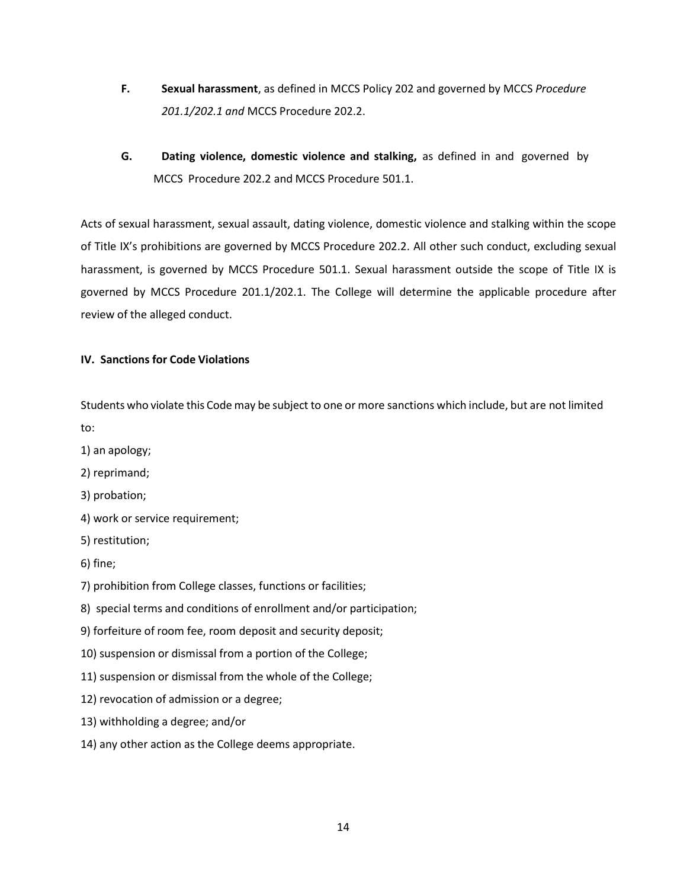- **F. Sexual harassment**, as defined in MCCS Policy 202 and governed by MCCS *Procedure 201.1/202.1 and* MCCS Procedure 202.2.
- **G. Dating violence, domestic violence and stalking,** as defined in and governed by MCCS Procedure 202.2 and MCCS Procedure 501.1.

Acts of sexual harassment, sexual assault, dating violence, domestic violence and stalking within the scope of Title IX's prohibitions are governed by MCCS Procedure 202.2. All other such conduct, excluding sexual harassment, is governed by MCCS Procedure 501.1. Sexual harassment outside the scope of Title IX is governed by MCCS Procedure 201.1/202.1. The College will determine the applicable procedure after review of the alleged conduct.

## **IV. Sanctions for Code Violations**

Students who violate this Code may be subject to one or more sanctions which include, but are not limited to:

- 1) an apology;
- 2) reprimand;
- 3) probation;
- 4) work or service requirement;
- 5) restitution;
- 6) fine;
- 7) prohibition from College classes, functions or facilities;
- 8) special terms and conditions of enrollment and/or participation;
- 9) forfeiture of room fee, room deposit and security deposit;
- 10) suspension or dismissal from a portion of the College;
- 11) suspension or dismissal from the whole of the College;
- 12) revocation of admission or a degree;
- 13) withholding a degree; and/or
- 14) any other action as the College deems appropriate.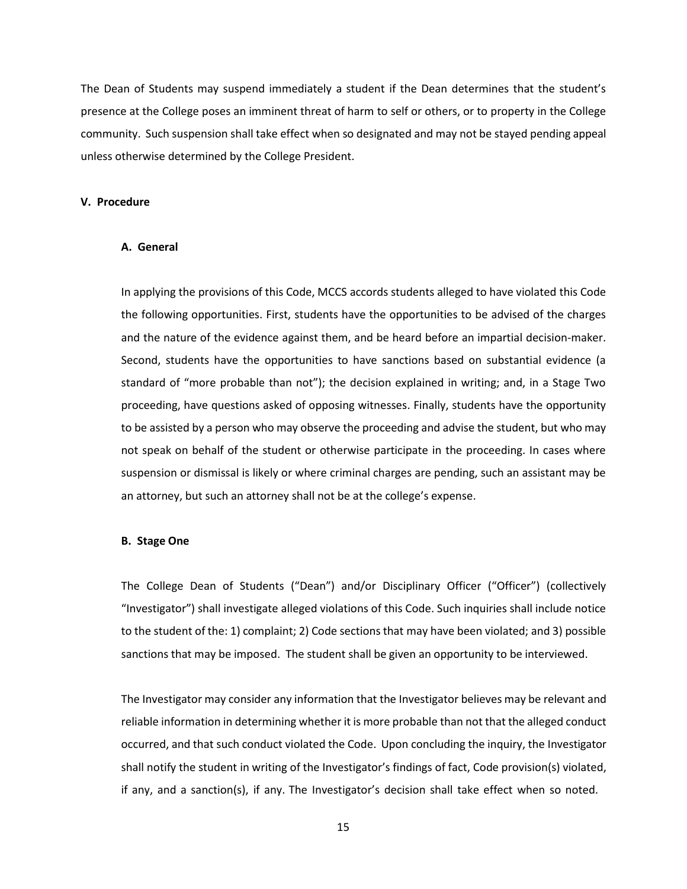The Dean of Students may suspend immediately a student if the Dean determines that the student's presence at the College poses an imminent threat of harm to self or others, or to property in the College community. Such suspension shall take effect when so designated and may not be stayed pending appeal unless otherwise determined by the College President.

#### **V. Procedure**

## **A. General**

In applying the provisions of this Code, MCCS accords students alleged to have violated this Code the following opportunities. First, students have the opportunities to be advised of the charges and the nature of the evidence against them, and be heard before an impartial decision-maker. Second, students have the opportunities to have sanctions based on substantial evidence (a standard of "more probable than not"); the decision explained in writing; and, in a Stage Two proceeding, have questions asked of opposing witnesses. Finally, students have the opportunity to be assisted by a person who may observe the proceeding and advise the student, but who may not speak on behalf of the student or otherwise participate in the proceeding. In cases where suspension or dismissal is likely or where criminal charges are pending, such an assistant may be an attorney, but such an attorney shall not be at the college's expense.

#### **B. Stage One**

The College Dean of Students ("Dean") and/or Disciplinary Officer ("Officer") (collectively "Investigator") shall investigate alleged violations of this Code. Such inquiries shall include notice to the student of the: 1) complaint; 2) Code sections that may have been violated; and 3) possible sanctions that may be imposed. The student shall be given an opportunity to be interviewed.

The Investigator may consider any information that the Investigator believes may be relevant and reliable information in determining whether it is more probable than not that the alleged conduct occurred, and that such conduct violated the Code. Upon concluding the inquiry, the Investigator shall notify the student in writing of the Investigator's findings of fact, Code provision(s) violated, if any, and a sanction(s), if any. The Investigator's decision shall take effect when so noted.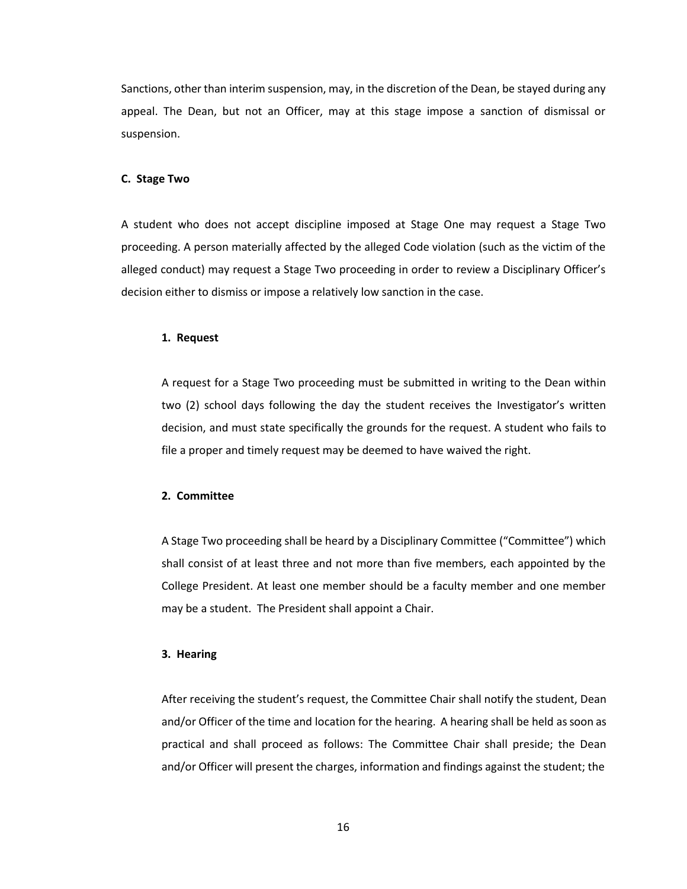Sanctions, other than interim suspension, may, in the discretion of the Dean, be stayed during any appeal. The Dean, but not an Officer, may at this stage impose a sanction of dismissal or suspension.

#### **C. Stage Two**

A student who does not accept discipline imposed at Stage One may request a Stage Two proceeding. A person materially affected by the alleged Code violation (such as the victim of the alleged conduct) may request a Stage Two proceeding in order to review a Disciplinary Officer's decision either to dismiss or impose a relatively low sanction in the case.

#### **1. Request**

A request for a Stage Two proceeding must be submitted in writing to the Dean within two (2) school days following the day the student receives the Investigator's written decision, and must state specifically the grounds for the request. A student who fails to file a proper and timely request may be deemed to have waived the right.

#### **2. Committee**

A Stage Two proceeding shall be heard by a Disciplinary Committee ("Committee") which shall consist of at least three and not more than five members, each appointed by the College President. At least one member should be a faculty member and one member may be a student. The President shall appoint a Chair.

#### **3. Hearing**

After receiving the student's request, the Committee Chair shall notify the student, Dean and/or Officer of the time and location for the hearing. A hearing shall be held assoon as practical and shall proceed as follows: The Committee Chair shall preside; the Dean and/or Officer will present the charges, information and findings against the student; the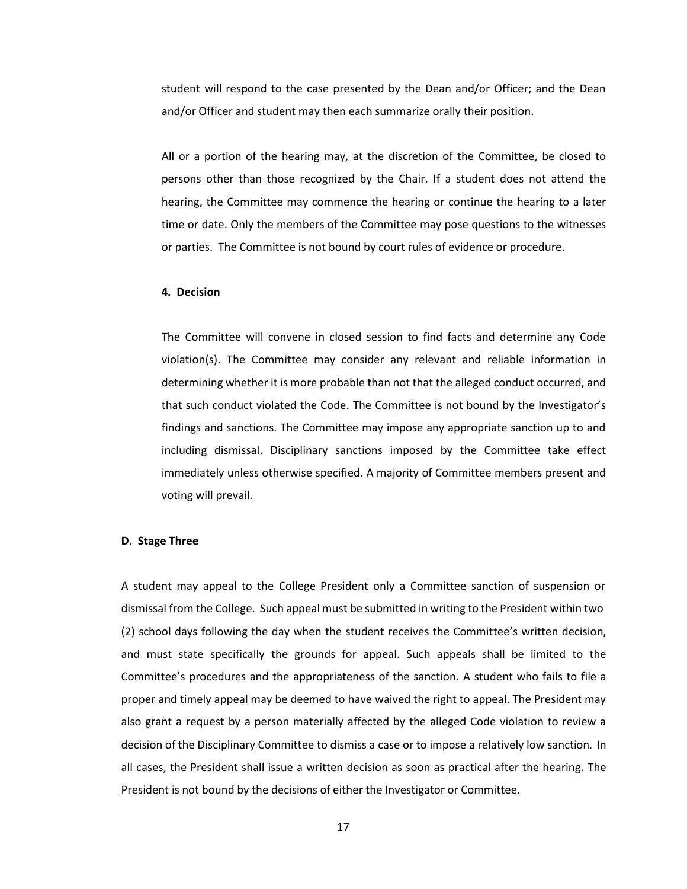student will respond to the case presented by the Dean and/or Officer; and the Dean and/or Officer and student may then each summarize orally their position.

All or a portion of the hearing may, at the discretion of the Committee, be closed to persons other than those recognized by the Chair. If a student does not attend the hearing, the Committee may commence the hearing or continue the hearing to a later time or date. Only the members of the Committee may pose questions to the witnesses or parties. The Committee is not bound by court rules of evidence or procedure.

#### **4. Decision**

The Committee will convene in closed session to find facts and determine any Code violation(s). The Committee may consider any relevant and reliable information in determining whether it is more probable than not that the alleged conduct occurred, and that such conduct violated the Code. The Committee is not bound by the Investigator's findings and sanctions. The Committee may impose any appropriate sanction up to and including dismissal. Disciplinary sanctions imposed by the Committee take effect immediately unless otherwise specified. A majority of Committee members present and voting will prevail.

#### **D. Stage Three**

A student may appeal to the College President only a Committee sanction of suspension or dismissal from the College. Such appeal must be submitted in writing to the President within two (2) school days following the day when the student receives the Committee's written decision, and must state specifically the grounds for appeal. Such appeals shall be limited to the Committee's procedures and the appropriateness of the sanction. A student who fails to file a proper and timely appeal may be deemed to have waived the right to appeal. The President may also grant a request by a person materially affected by the alleged Code violation to review a decision of the Disciplinary Committee to dismiss a case or to impose a relatively low sanction. In all cases, the President shall issue a written decision as soon as practical after the hearing. The President is not bound by the decisions of either the Investigator or Committee.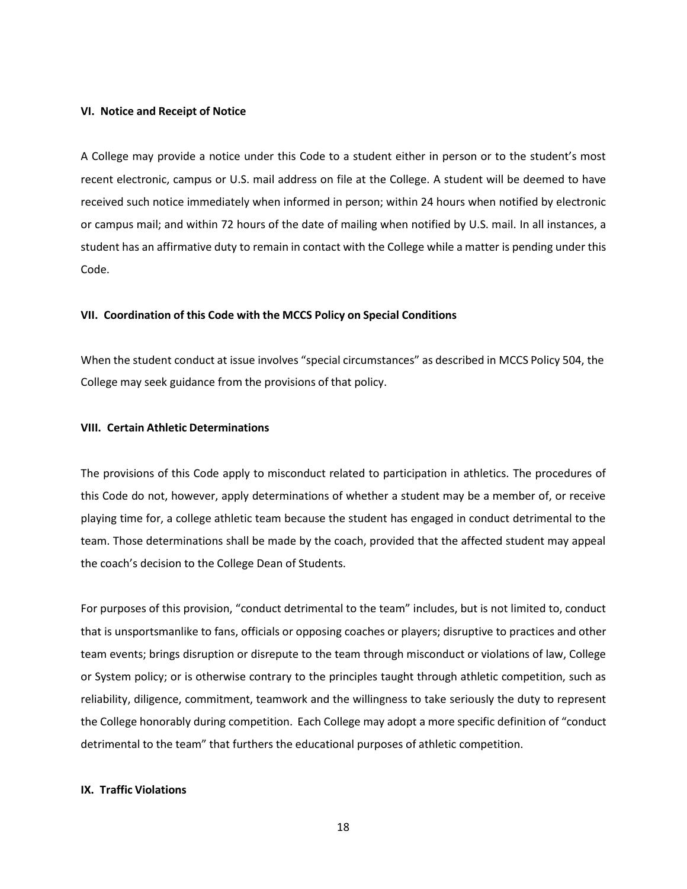#### **VI. Notice and Receipt of Notice**

A College may provide a notice under this Code to a student either in person or to the student's most recent electronic, campus or U.S. mail address on file at the College. A student will be deemed to have received such notice immediately when informed in person; within 24 hours when notified by electronic or campus mail; and within 72 hours of the date of mailing when notified by U.S. mail. In all instances, a student has an affirmative duty to remain in contact with the College while a matter is pending under this Code.

#### **VII. Coordination of this Code with the MCCS Policy on Special Conditions**

When the student conduct at issue involves "special circumstances" as described in MCCS Policy 504, the College may seek guidance from the provisions of that policy.

#### **VIII. Certain Athletic Determinations**

The provisions of this Code apply to misconduct related to participation in athletics. The procedures of this Code do not, however, apply determinations of whether a student may be a member of, or receive playing time for, a college athletic team because the student has engaged in conduct detrimental to the team. Those determinations shall be made by the coach, provided that the affected student may appeal the coach's decision to the College Dean of Students.

For purposes of this provision, "conduct detrimental to the team" includes, but is not limited to, conduct that is unsportsmanlike to fans, officials or opposing coaches or players; disruptive to practices and other team events; brings disruption or disrepute to the team through misconduct or violations of law, College or System policy; or is otherwise contrary to the principles taught through athletic competition, such as reliability, diligence, commitment, teamwork and the willingness to take seriously the duty to represent the College honorably during competition. Each College may adopt a more specific definition of "conduct detrimental to the team" that furthers the educational purposes of athletic competition.

## **IX. Traffic Violations**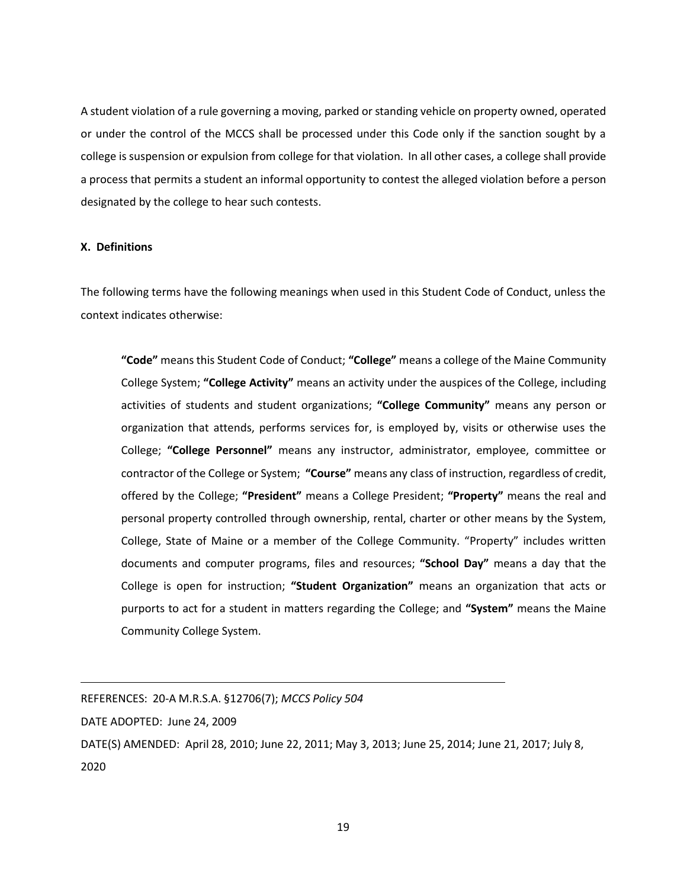A student violation of a rule governing a moving, parked or standing vehicle on property owned, operated or under the control of the MCCS shall be processed under this Code only if the sanction sought by a college is suspension or expulsion from college for that violation. In all other cases, a college shall provide a process that permits a student an informal opportunity to contest the alleged violation before a person designated by the college to hear such contests.

## **X. Definitions**

The following terms have the following meanings when used in this Student Code of Conduct, unless the context indicates otherwise:

**"Code"** meansthis Student Code of Conduct; **"College"** means a college of the Maine Community College System; **"College Activity"** means an activity under the auspices of the College, including activities of students and student organizations; **"College Community"** means any person or organization that attends, performs services for, is employed by, visits or otherwise uses the College; **"College Personnel"** means any instructor, administrator, employee, committee or contractor of the College or System; **"Course"** means any class of instruction, regardless of credit, offered by the College; **"President"** means a College President; **"Property"** means the real and personal property controlled through ownership, rental, charter or other means by the System, College, State of Maine or a member of the College Community. "Property" includes written documents and computer programs, files and resources; **"School Day"** means a day that the College is open for instruction; **"Student Organization"** means an organization that acts or purports to act for a student in matters regarding the College; and **"System"** means the Maine Community College System.

REFERENCES: 20-A M.R.S.A. §12706(7); *MCCS Policy 504*

DATE ADOPTED: June 24, 2009

DATE(S) AMENDED: April 28, 2010; June 22, 2011; May 3, 2013; June 25, 2014; June 21, 2017; July 8, 2020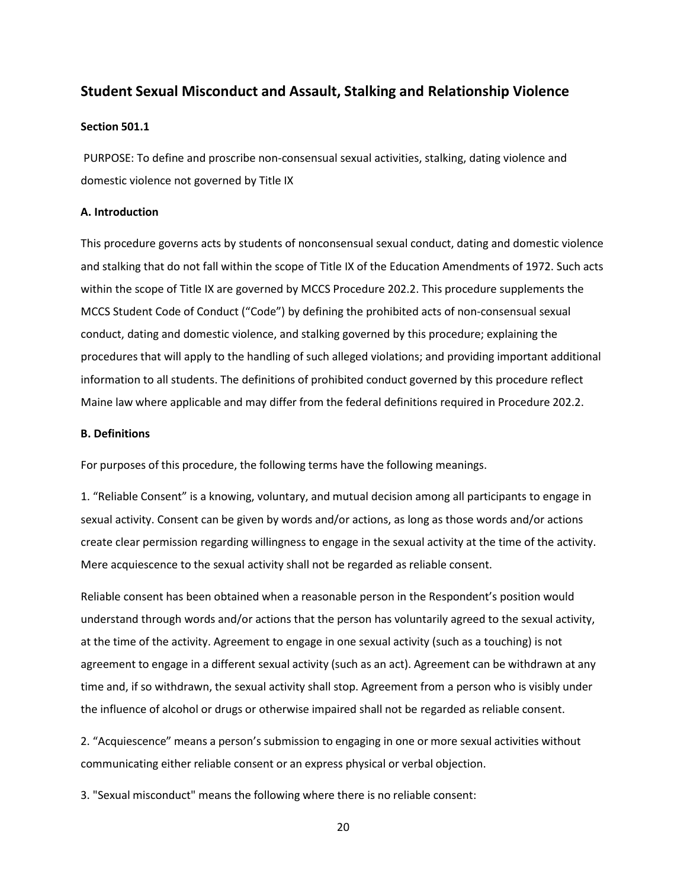## **Student Sexual Misconduct and Assault, Stalking and Relationship Violence**

#### **Section 501.1**

PURPOSE: To define and proscribe non-consensual sexual activities, stalking, dating violence and domestic violence not governed by Title IX

#### **A. Introduction**

This procedure governs acts by students of nonconsensual sexual conduct, dating and domestic violence and stalking that do not fall within the scope of Title IX of the Education Amendments of 1972. Such acts within the scope of Title IX are governed by MCCS Procedure 202.2. This procedure supplements the MCCS Student Code of Conduct ("Code") by defining the prohibited acts of non-consensual sexual conduct, dating and domestic violence, and stalking governed by this procedure; explaining the procedures that will apply to the handling of such alleged violations; and providing important additional information to all students. The definitions of prohibited conduct governed by this procedure reflect Maine law where applicable and may differ from the federal definitions required in Procedure 202.2.

## **B. Definitions**

For purposes of this procedure, the following terms have the following meanings.

1. "Reliable Consent" is a knowing, voluntary, and mutual decision among all participants to engage in sexual activity. Consent can be given by words and/or actions, as long as those words and/or actions create clear permission regarding willingness to engage in the sexual activity at the time of the activity. Mere acquiescence to the sexual activity shall not be regarded as reliable consent.

Reliable consent has been obtained when a reasonable person in the Respondent's position would understand through words and/or actions that the person has voluntarily agreed to the sexual activity, at the time of the activity. Agreement to engage in one sexual activity (such as a touching) is not agreement to engage in a different sexual activity (such as an act). Agreement can be withdrawn at any time and, if so withdrawn, the sexual activity shall stop. Agreement from a person who is visibly under the influence of alcohol or drugs or otherwise impaired shall not be regarded as reliable consent.

2. "Acquiescence" means a person's submission to engaging in one or more sexual activities without communicating either reliable consent or an express physical or verbal objection.

3. "Sexual misconduct" means the following where there is no reliable consent: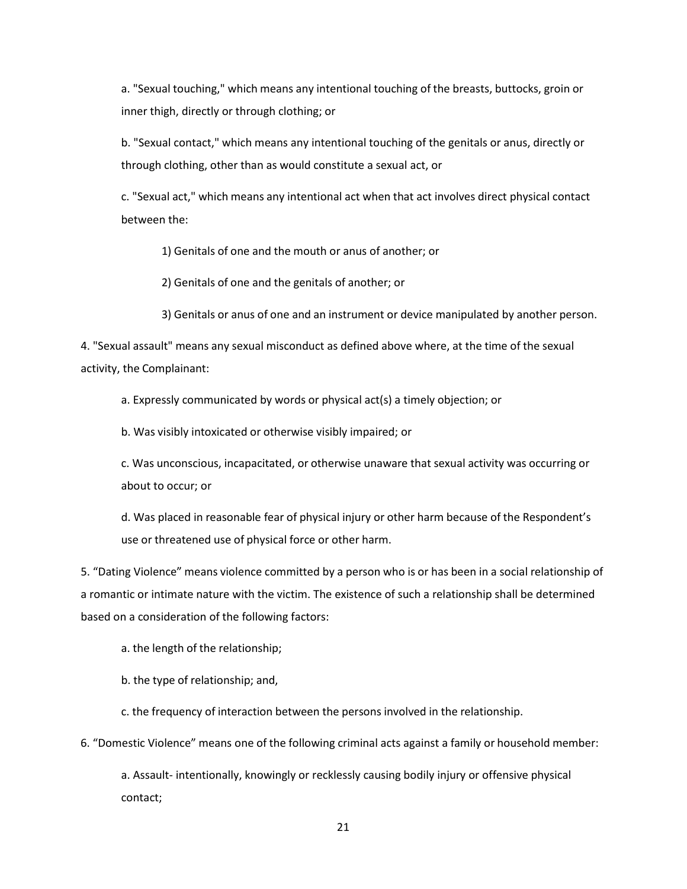a. "Sexual touching," which means any intentional touching of the breasts, buttocks, groin or inner thigh, directly or through clothing; or

b. "Sexual contact," which means any intentional touching of the genitals or anus, directly or through clothing, other than as would constitute a sexual act, or

c. "Sexual act," which means any intentional act when that act involves direct physical contact between the:

1) Genitals of one and the mouth or anus of another; or

2) Genitals of one and the genitals of another; or

3) Genitals or anus of one and an instrument or device manipulated by another person.

4. "Sexual assault" means any sexual misconduct as defined above where, at the time of the sexual activity, the Complainant:

a. Expressly communicated by words or physical act(s) a timely objection; or

b. Was visibly intoxicated or otherwise visibly impaired; or

c. Was unconscious, incapacitated, or otherwise unaware that sexual activity was occurring or about to occur; or

d. Was placed in reasonable fear of physical injury or other harm because of the Respondent's use or threatened use of physical force or other harm.

5. "Dating Violence" means violence committed by a person who is or has been in a social relationship of a romantic or intimate nature with the victim. The existence of such a relationship shall be determined based on a consideration of the following factors:

a. the length of the relationship;

b. the type of relationship; and,

c. the frequency of interaction between the persons involved in the relationship.

6. "Domestic Violence" means one of the following criminal acts against a family or household member:

a. Assault- intentionally, knowingly or recklessly causing bodily injury or offensive physical contact;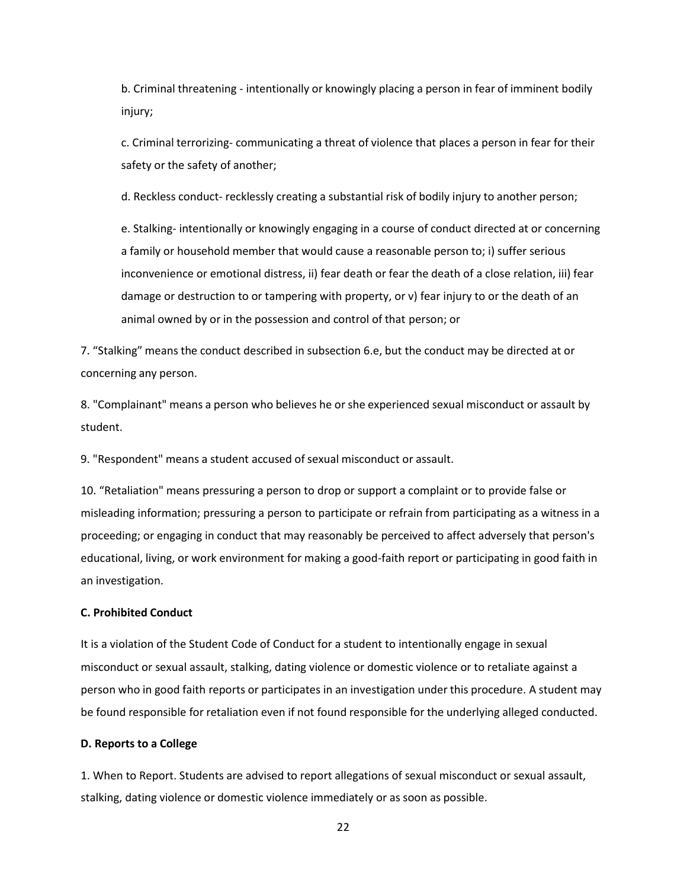b. Criminal threatening - intentionally or knowingly placing a person in fear of imminent bodily injury;

c. Criminal terrorizing- communicating a threat of violence that places a person in fear for their safety or the safety of another;

d. Reckless conduct- recklessly creating a substantial risk of bodily injury to another person;

e. Stalking- intentionally or knowingly engaging in a course of conduct directed at or concerning a family or household member that would cause a reasonable person to; i) suffer serious inconvenience or emotional distress, ii) fear death or fear the death of a close relation, iii) fear damage or destruction to or tampering with property, or v) fear injury to or the death of an animal owned by or in the possession and control of that person; or

7. "Stalking" means the conduct described in subsection 6.e, but the conduct may be directed at or concerning any person.

8. "Complainant" means a person who believes he orshe experienced sexual misconduct or assault by student.

9. "Respondent" means a student accused of sexual misconduct or assault.

10. "Retaliation" means pressuring a person to drop or support a complaint or to provide false or misleading information; pressuring a person to participate or refrain from participating as a witness in a proceeding; or engaging in conduct that may reasonably be perceived to affect adversely that person's educational, living, or work environment for making a good-faith report or participating in good faith in an investigation.

## **C. Prohibited Conduct**

It is a violation of the Student Code of Conduct for a student to intentionally engage in sexual misconduct or sexual assault, stalking, dating violence or domestic violence or to retaliate against a person who in good faith reports or participates in an investigation under this procedure. A student may be found responsible for retaliation even if not found responsible for the underlying alleged conducted.

#### **D. Reports to a College**

1. When to Report. Students are advised to report allegations of sexual misconduct or sexual assault, stalking, dating violence or domestic violence immediately or as soon as possible.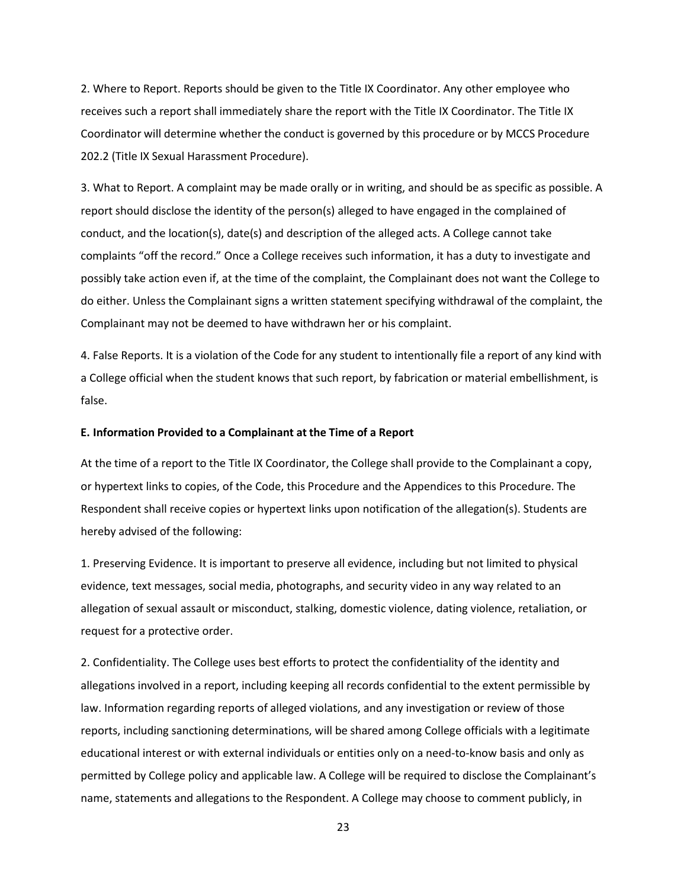2. Where to Report. Reports should be given to the Title IX Coordinator. Any other employee who receives such a report shall immediately share the report with the Title IX Coordinator. The Title IX Coordinator will determine whether the conduct is governed by this procedure or by MCCS Procedure 202.2 (Title IX Sexual Harassment Procedure).

3. What to Report. A complaint may be made orally or in writing, and should be as specific as possible. A report should disclose the identity of the person(s) alleged to have engaged in the complained of conduct, and the location(s), date(s) and description of the alleged acts. A College cannot take complaints "off the record." Once a College receives such information, it has a duty to investigate and possibly take action even if, at the time of the complaint, the Complainant does not want the College to do either. Unless the Complainant signs a written statement specifying withdrawal of the complaint, the Complainant may not be deemed to have withdrawn her or his complaint.

4. False Reports. It is a violation of the Code for any student to intentionally file a report of any kind with a College official when the student knows that such report, by fabrication or material embellishment, is false.

#### **E. Information Provided to a Complainant at the Time of a Report**

At the time of a report to the Title IX Coordinator, the College shall provide to the Complainant a copy, or hypertext links to copies, of the Code, this Procedure and the Appendices to this Procedure. The Respondent shall receive copies or hypertext links upon notification of the allegation(s). Students are hereby advised of the following:

1. Preserving Evidence. It is important to preserve all evidence, including but not limited to physical evidence, text messages, social media, photographs, and security video in any way related to an allegation of sexual assault or misconduct, stalking, domestic violence, dating violence, retaliation, or request for a protective order.

2. Confidentiality. The College uses best efforts to protect the confidentiality of the identity and allegations involved in a report, including keeping all records confidential to the extent permissible by law. Information regarding reports of alleged violations, and any investigation or review of those reports, including sanctioning determinations, will be shared among College officials with a legitimate educational interest or with external individuals or entities only on a need-to-know basis and only as permitted by College policy and applicable law. A College will be required to disclose the Complainant's name, statements and allegations to the Respondent. A College may choose to comment publicly, in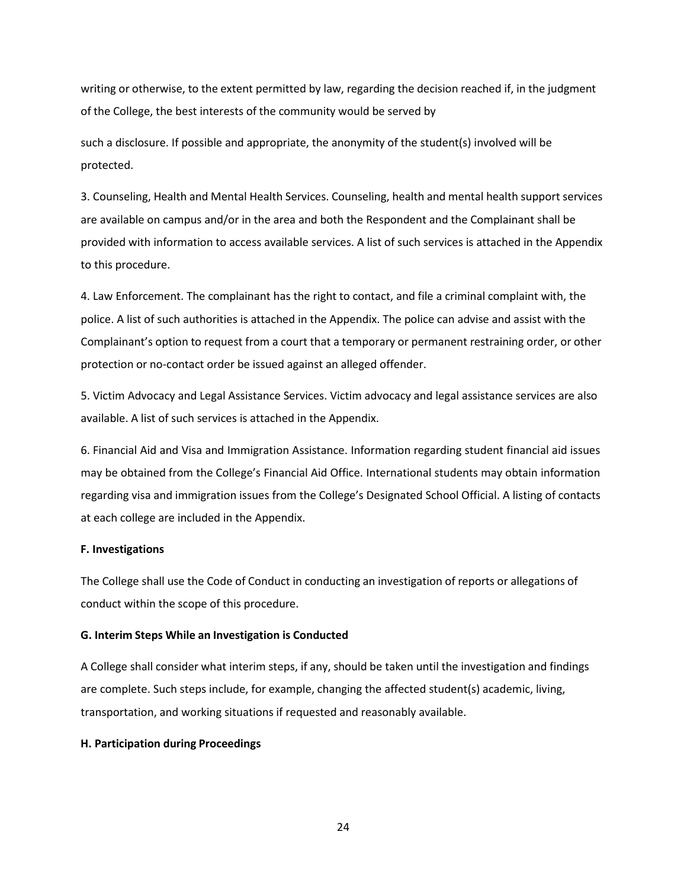writing or otherwise, to the extent permitted by law, regarding the decision reached if, in the judgment of the College, the best interests of the community would be served by

such a disclosure. If possible and appropriate, the anonymity of the student(s) involved will be protected.

3. Counseling, Health and Mental Health Services. Counseling, health and mental health support services are available on campus and/or in the area and both the Respondent and the Complainant shall be provided with information to access available services. A list of such services is attached in the Appendix to this procedure.

4. Law Enforcement. The complainant has the right to contact, and file a criminal complaint with, the police. A list of such authorities is attached in the Appendix. The police can advise and assist with the Complainant's option to request from a court that a temporary or permanent restraining order, or other protection or no-contact order be issued against an alleged offender.

5. Victim Advocacy and Legal Assistance Services. Victim advocacy and legal assistance services are also available. A list of such services is attached in the Appendix.

6. Financial Aid and Visa and Immigration Assistance. Information regarding student financial aid issues may be obtained from the College's Financial Aid Office. International students may obtain information regarding visa and immigration issues from the College's Designated School Official. A listing of contacts at each college are included in the Appendix.

## **F. Investigations**

The College shall use the Code of Conduct in conducting an investigation of reports or allegations of conduct within the scope of this procedure.

### **G. Interim Steps While an Investigation is Conducted**

A College shall consider what interim steps, if any, should be taken until the investigation and findings are complete. Such steps include, for example, changing the affected student(s) academic, living, transportation, and working situations if requested and reasonably available.

### **H. Participation during Proceedings**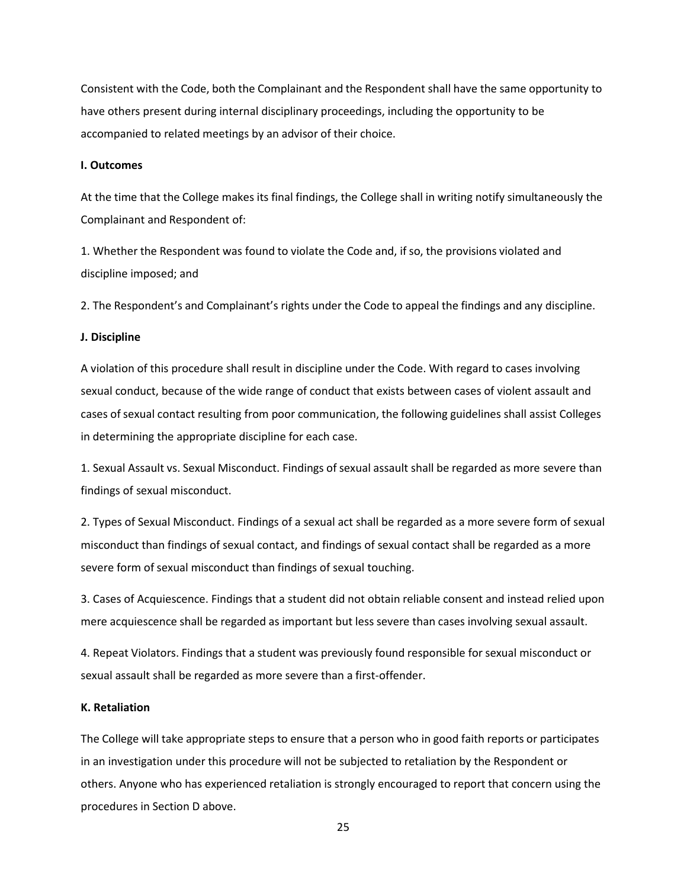Consistent with the Code, both the Complainant and the Respondent shall have the same opportunity to have others present during internal disciplinary proceedings, including the opportunity to be accompanied to related meetings by an advisor of their choice.

#### **I. Outcomes**

At the time that the College makes its final findings, the College shall in writing notify simultaneously the Complainant and Respondent of:

1. Whether the Respondent was found to violate the Code and, ifso, the provisions violated and discipline imposed; and

2. The Respondent's and Complainant's rights under the Code to appeal the findings and any discipline.

### **J. Discipline**

A violation of this procedure shall result in discipline under the Code. With regard to cases involving sexual conduct, because of the wide range of conduct that exists between cases of violent assault and cases of sexual contact resulting from poor communication, the following guidelines shall assist Colleges in determining the appropriate discipline for each case.

1. Sexual Assault vs. Sexual Misconduct. Findings of sexual assault shall be regarded as more severe than findings of sexual misconduct.

2. Types of Sexual Misconduct. Findings of a sexual act shall be regarded as a more severe form of sexual misconduct than findings of sexual contact, and findings of sexual contact shall be regarded as a more severe form of sexual misconduct than findings of sexual touching.

3. Cases of Acquiescence. Findings that a student did not obtain reliable consent and instead relied upon mere acquiescence shall be regarded as important but less severe than cases involving sexual assault.

4. Repeat Violators. Findings that a student was previously found responsible for sexual misconduct or sexual assault shall be regarded as more severe than a first-offender.

## **K. Retaliation**

The College will take appropriate steps to ensure that a person who in good faith reports or participates in an investigation under this procedure will not be subjected to retaliation by the Respondent or others. Anyone who has experienced retaliation is strongly encouraged to report that concern using the procedures in Section D above.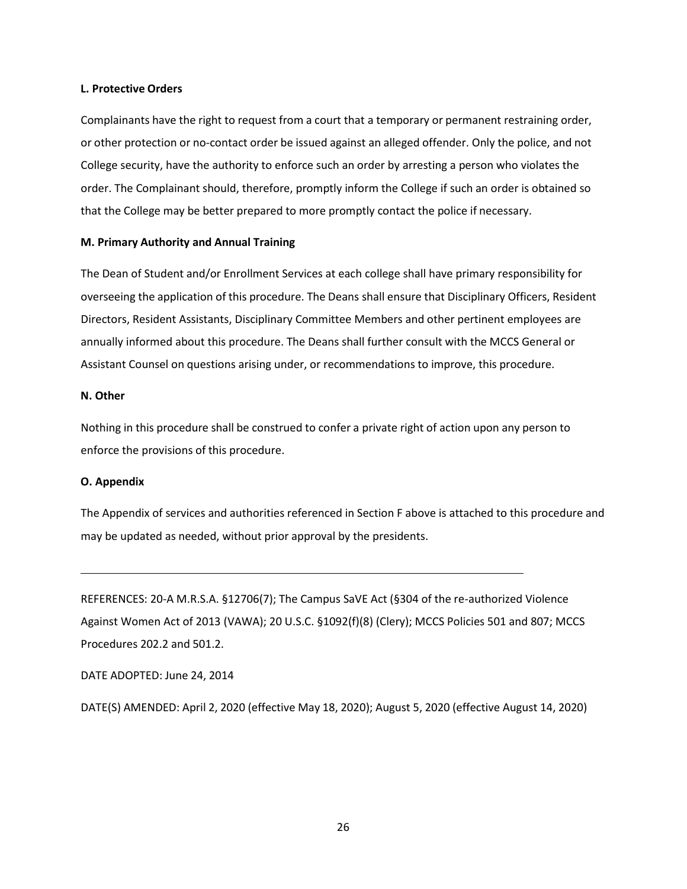#### **L. Protective Orders**

Complainants have the right to request from a court that a temporary or permanent restraining order, or other protection or no-contact order be issued against an alleged offender. Only the police, and not College security, have the authority to enforce such an order by arresting a person who violates the order. The Complainant should, therefore, promptly inform the College if such an order is obtained so that the College may be better prepared to more promptly contact the police if necessary.

### **M. Primary Authority and Annual Training**

The Dean of Student and/or Enrollment Services at each college shall have primary responsibility for overseeing the application of this procedure. The Deans shall ensure that Disciplinary Officers, Resident Directors, Resident Assistants, Disciplinary Committee Members and other pertinent employees are annually informed about this procedure. The Deans shall further consult with the MCCS General or Assistant Counsel on questions arising under, or recommendations to improve, this procedure.

## **N. Other**

Nothing in this procedure shall be construed to confer a private right of action upon any person to enforce the provisions of this procedure.

## **O. Appendix**

The Appendix of services and authorities referenced in Section F above is attached to this procedure and may be updated as needed, without prior approval by the presidents.

REFERENCES: 20-A M.R.S.A. §12706(7); The Campus SaVE Act (§304 of the re-authorized Violence Against Women Act of 2013 (VAWA); 20 U.S.C. §1092(f)(8) (Clery); MCCS Policies 501 and 807; MCCS Procedures 202.2 and 501.2.

DATE ADOPTED: June 24, 2014

DATE(S) AMENDED: April 2, 2020 (effective May 18, 2020); August 5, 2020 (effective August 14, 2020)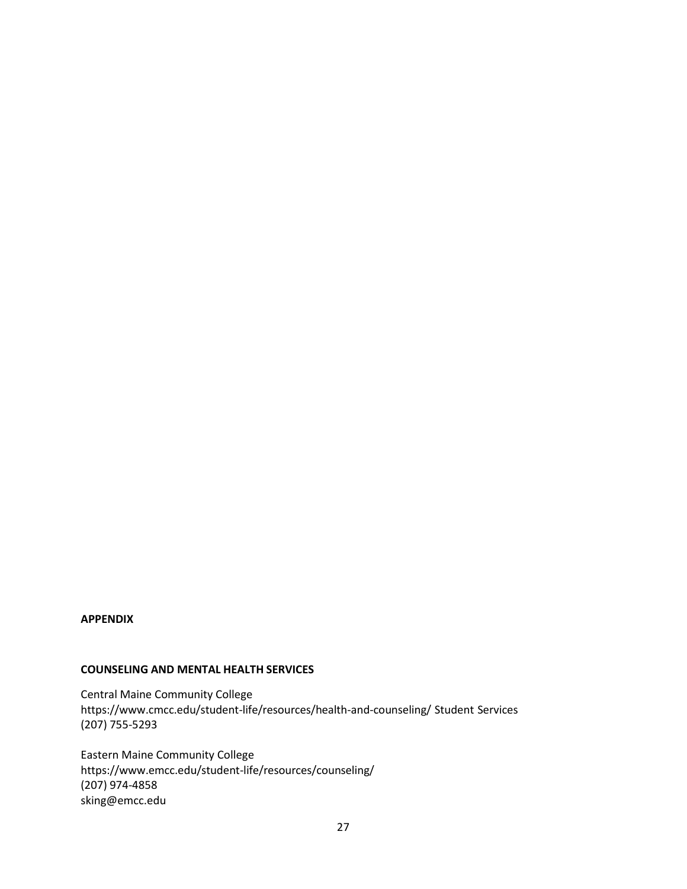## **APPENDIX**

## **COUNSELING AND MENTAL HEALTH SERVICES**

Central Maine Community College https[://www.cmcc.edu/student-life/resources/health-and-counseling/](http://www.cmcc.edu/student-life/resources/health-and-counseling/) Student Services (207) 755-5293

Eastern Maine Community College https[://www.emcc.edu/student-life/resources/counseling/](http://www.emcc.edu/student-life/resources/counseling/) (207) 974-4858 [sking@emcc.edu](mailto:sking@emcc.edu)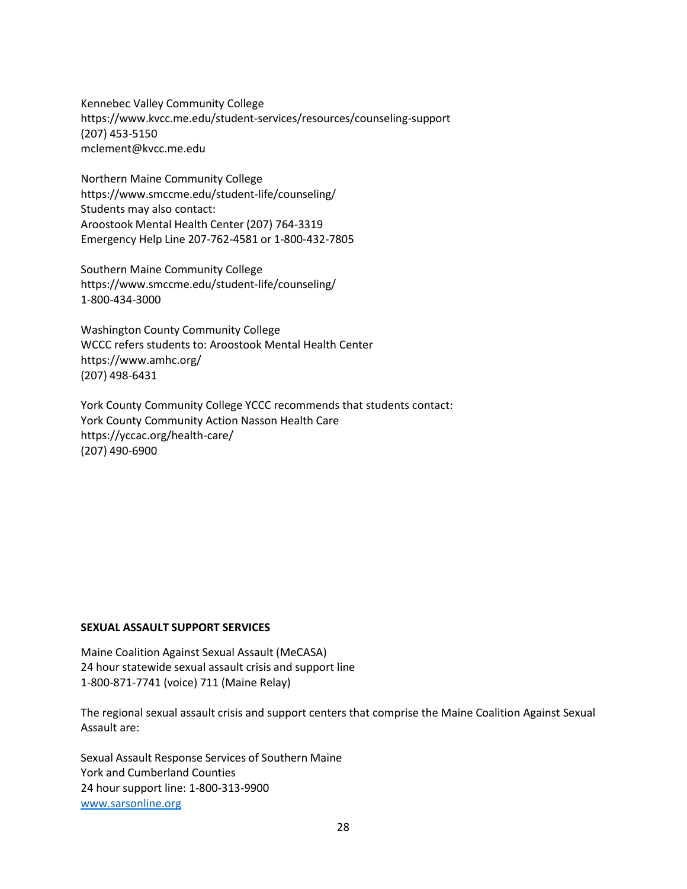Kennebec Valley Community College https[://www.kvcc.me.edu/student-services/resources/counseling-support](http://www.kvcc.me.edu/student-services/resources/counseling-support) (207) 453-5150 [mclement@kvcc.me.edu](mailto:mclement@kvcc.me.edu)

Northern Maine Community College https[://www.smccme.edu/student-life/counseling/](http://www.smccme.edu/student-life/counseling/) Students may also contact: Aroostook Mental Health Center (207) 764-3319 Emergency Help Line 207-762-4581 or 1-800-432-7805

Southern Maine Community College https[://www.smccme.edu/student-life/counseling/](http://www.smccme.edu/student-life/counseling/) 1-800-434-3000

Washington County Community College WCCC refers students to: Aroostook Mental Health Center https[://www.amhc.org/](http://www.amhc.org/) (207) 498-6431

York County Community College YCCC recommends that students contact: York County Community Action Nasson Health Care https://yccac.org/health-care/ (207) 490-6900

## **SEXUAL ASSAULT SUPPORT SERVICES**

Maine Coalition Against Sexual Assault (MeCASA) 24 hour statewide sexual assault crisis and support line 1-800-871-7741 (voice) 711 (Maine Relay)

The regional sexual assault crisis and support centers that comprise the Maine Coalition Against Sexual Assault are:

Sexual Assault Response Services of Southern Maine York and Cumberland Counties 24 hour support line: 1-800-313-9900 [www.sarsonline.org](http://www.sarsonline.org/)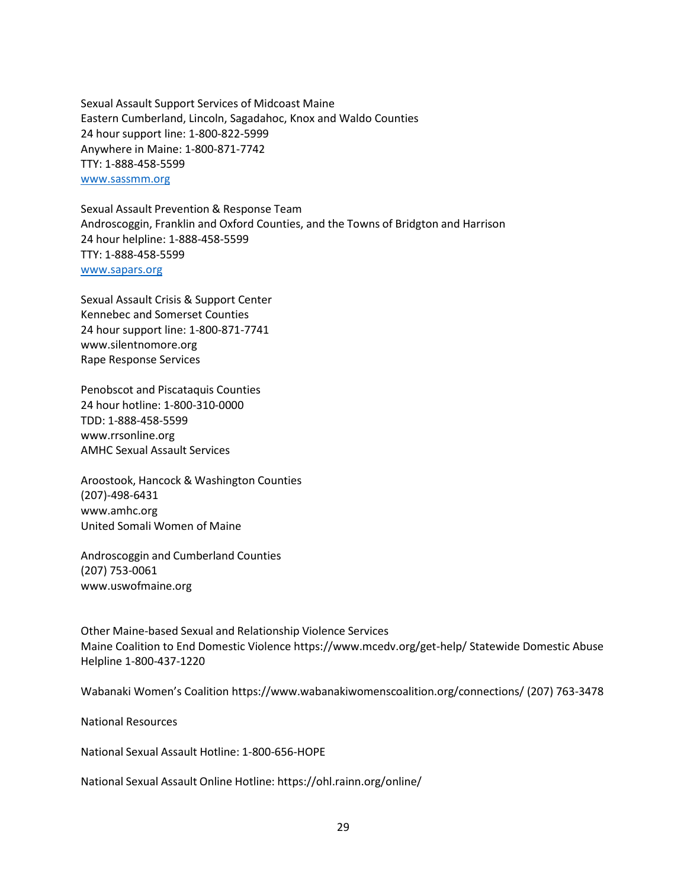Sexual Assault Support Services of Midcoast Maine Eastern Cumberland, Lincoln, Sagadahoc, Knox and Waldo Counties 24 hour support line: 1-800-822-5999 Anywhere in Maine: 1-800-871-7742 TTY: 1-888-458-5599 [www.sassmm.org](http://www.sassmm.org/)

Sexual Assault Prevention & Response Team Androscoggin, Franklin and Oxford Counties, and the Towns of Bridgton and Harrison 24 hour helpline: 1-888-458-5599 TTY: 1-888-458-5599 [www.sapars.org](http://www.sapars.org/)

Sexual Assault Crisis & Support Center Kennebec and Somerset Counties 24 hour support line: 1-800-871-7741 [www.silentnomore.org](http://www.silentnomore.org/) Rape Response Services

Penobscot and Piscataquis Counties 24 hour hotline: 1-800-310-0000 TDD: 1-888-458-5599 [www.rrsonline.org](http://www.rrsonline.org/) AMHC Sexual Assault Services

Aroostook, Hancock & Washington Counties (207)-498-6431 [www.amhc.org](http://www.amhc.org/) United Somali Women of Maine

Androscoggin and Cumberland Counties (207) 753-0061 [www.uswofmaine.org](http://www.uswofmaine.org/)

Other Maine-based Sexual and Relationship Violence Services Maine Coalition to End Domestic Violence https[://www.mcedv.org/get-help/ S](http://www.mcedv.org/get-help/)tatewide Domestic Abuse Helpline 1-800-437-1220

Wabanaki Women's Coalition https[://www.wabanakiwomenscoalition.org/connections/ \(](http://www.wabanakiwomenscoalition.org/connections/)207) 763-3478

National Resources

National Sexual Assault Hotline: 1-800-656-HOPE

National Sexual Assault Online Hotline: https://ohl.rainn.org/online/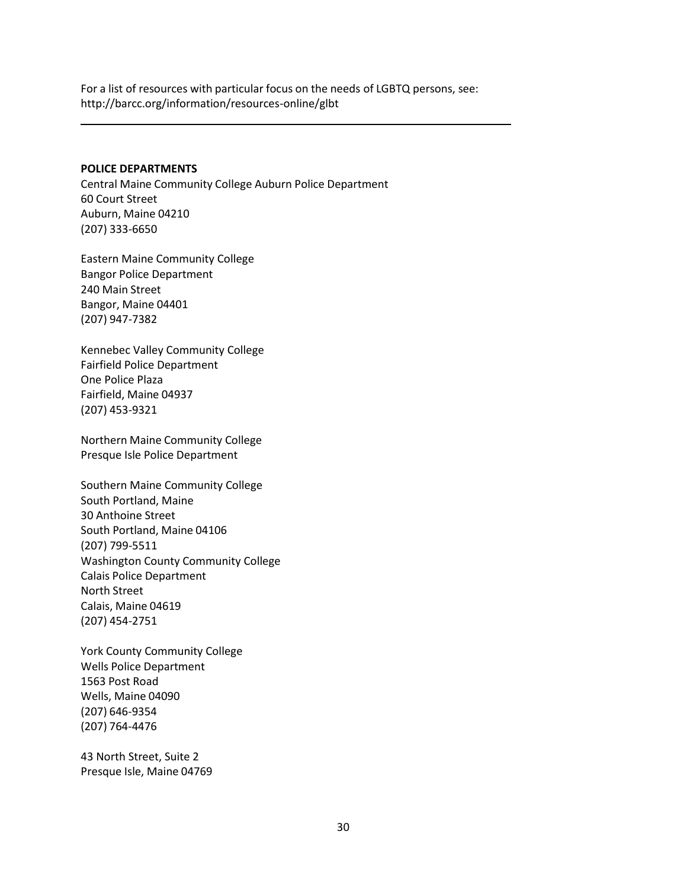For a list of resources with particular focus on the needs of LGBTQ persons, see: <http://barcc.org/information/resources-online/glbt>

#### **POLICE DEPARTMENTS**

Central Maine Community College Auburn Police Department 60 Court Street Auburn, Maine 04210 (207) 333-6650

Eastern Maine Community College Bangor Police Department 240 Main Street Bangor, Maine 04401 (207) 947-7382

Kennebec Valley Community College Fairfield Police Department One Police Plaza Fairfield, Maine 04937 (207) 453-9321

Northern Maine Community College Presque Isle Police Department

Southern Maine Community College South Portland, Maine 30 Anthoine Street South Portland, Maine 04106 (207) 799-5511 Washington County Community College Calais Police Department North Street Calais, Maine 04619 (207) 454-2751

York County Community College Wells Police Department 1563 Post Road Wells, Maine 04090 (207) 646-9354 (207) 764-4476

43 North Street, Suite 2 Presque Isle, Maine 04769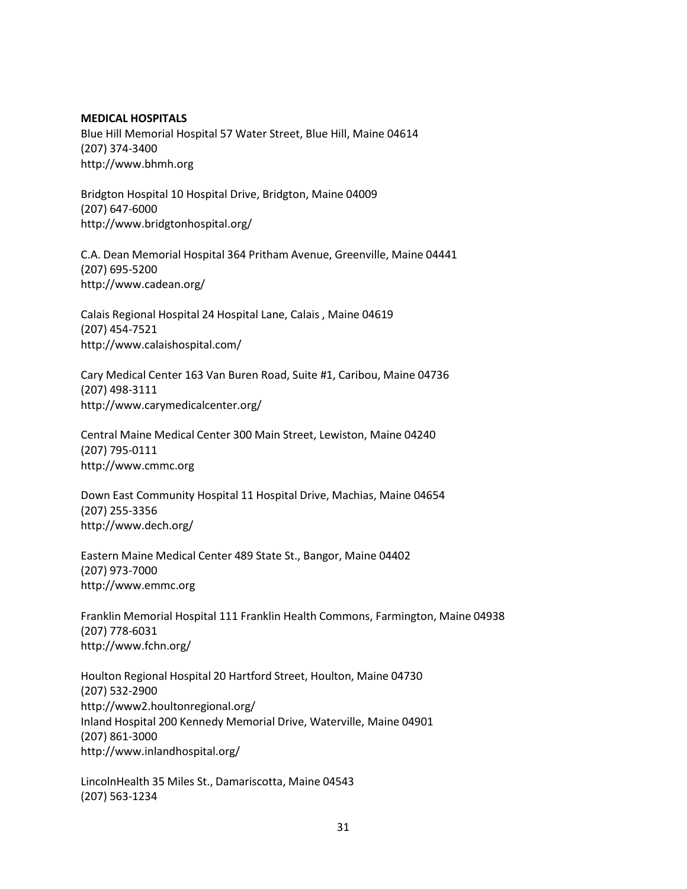### **MEDICAL HOSPITALS**

Blue Hill Memorial Hospital 57 Water Street, Blue Hill, Maine 04614 (207) 374-3400 [http://www.bhmh.org](http://www.bhmh.org/)

Bridgton Hospital 10 Hospital Drive, Bridgton, Maine 04009 (207) 647-6000 <http://www.bridgtonhospital.org/>

C.A. Dean Memorial Hospital 364 Pritham Avenue, Greenville, Maine 04441 (207) 695-5200 <http://www.cadean.org/>

Calais Regional Hospital 24 Hospital Lane, Calais , Maine 04619 (207) 454-7521 <http://www.calaishospital.com/>

Cary Medical Center 163 Van Buren Road, Suite #1, Caribou, Maine 04736 (207) 498-3111 <http://www.carymedicalcenter.org/>

Central Maine Medical Center 300 Main Street, Lewiston, Maine 04240 (207) 795-0111 [http://www.cmmc.org](http://www.cmmc.org/)

Down East Community Hospital 11 Hospital Drive, Machias, Maine 04654 (207) 255-3356 <http://www.dech.org/>

Eastern Maine Medical Center 489 State St., Bangor, Maine 04402 (207) 973-7000 [http://www.emmc.org](http://www.emmc.org/)

Franklin Memorial Hospital 111 Franklin Health Commons, Farmington, Maine 04938 (207) 778-6031 <http://www.fchn.org/>

Houlton Regional Hospital 20 Hartford Street, Houlton, Maine 04730 (207) 532-2900 <http://www2.houltonregional.org/> Inland Hospital 200 Kennedy Memorial Drive, Waterville, Maine 04901 (207) 861-3000 <http://www.inlandhospital.org/>

LincolnHealth 35 Miles St., Damariscotta, Maine 04543 (207) 563-1234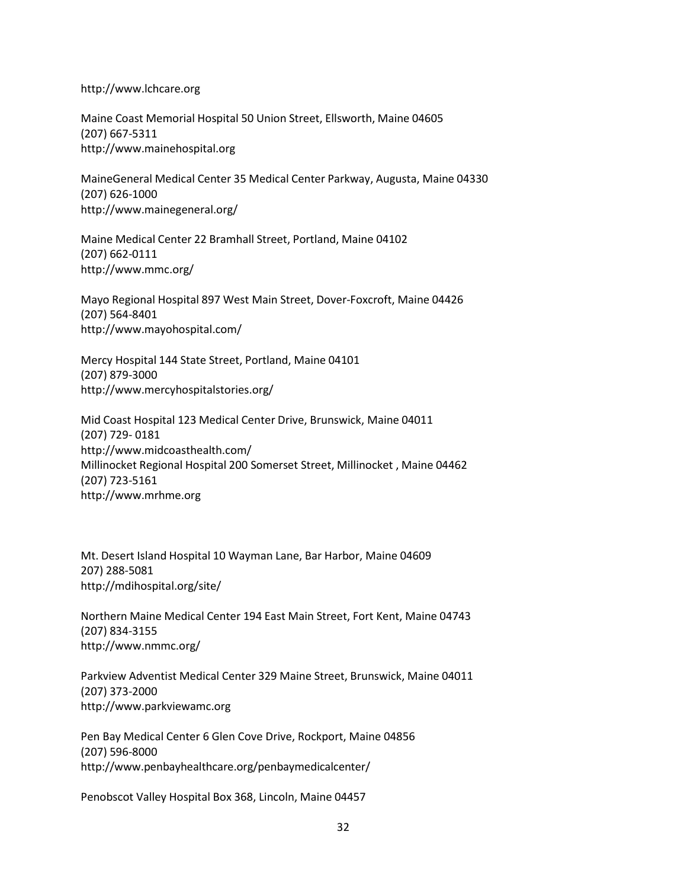[http://www.lchcare.org](http://www.lchcare.org/)

Maine Coast Memorial Hospital 50 Union Street, Ellsworth, Maine 04605 (207) 667-5311 [http://www.mainehospital.org](http://www.mainehospital.org/)

MaineGeneral Medical Center 35 Medical Center Parkway, Augusta, Maine 04330 (207) 626-1000 <http://www.mainegeneral.org/>

Maine Medical Center 22 Bramhall Street, Portland, Maine 04102 (207) 662-0111 <http://www.mmc.org/>

Mayo Regional Hospital 897 West Main Street, Dover-Foxcroft, Maine 04426 (207) 564-8401 <http://www.mayohospital.com/>

Mercy Hospital 144 State Street, Portland, Maine 04101 (207) 879-3000 <http://www.mercyhospitalstories.org/>

Mid Coast Hospital 123 Medical Center Drive, Brunswick, Maine 04011 (207) 729- 0181 <http://www.midcoasthealth.com/> Millinocket Regional Hospital 200 Somerset Street, Millinocket , Maine 04462 (207) 723-5161 [http://www.mrhme.org](http://www.mrhme.org/)

Mt. Desert Island Hospital 10 Wayman Lane, Bar Harbor, Maine 04609 207) 288-5081 <http://mdihospital.org/site/>

Northern Maine Medical Center 194 East Main Street, Fort Kent, Maine 04743 (207) 834-3155 <http://www.nmmc.org/>

Parkview Adventist Medical Center 329 Maine Street, Brunswick, Maine 04011 (207) 373-2000 [http://www.parkviewamc.org](http://www.parkviewamc.org/)

Pen Bay Medical Center 6 Glen Cove Drive, Rockport, Maine 04856 (207) 596-8000 <http://www.penbayhealthcare.org/penbaymedicalcenter/>

Penobscot Valley Hospital Box 368, Lincoln, Maine 04457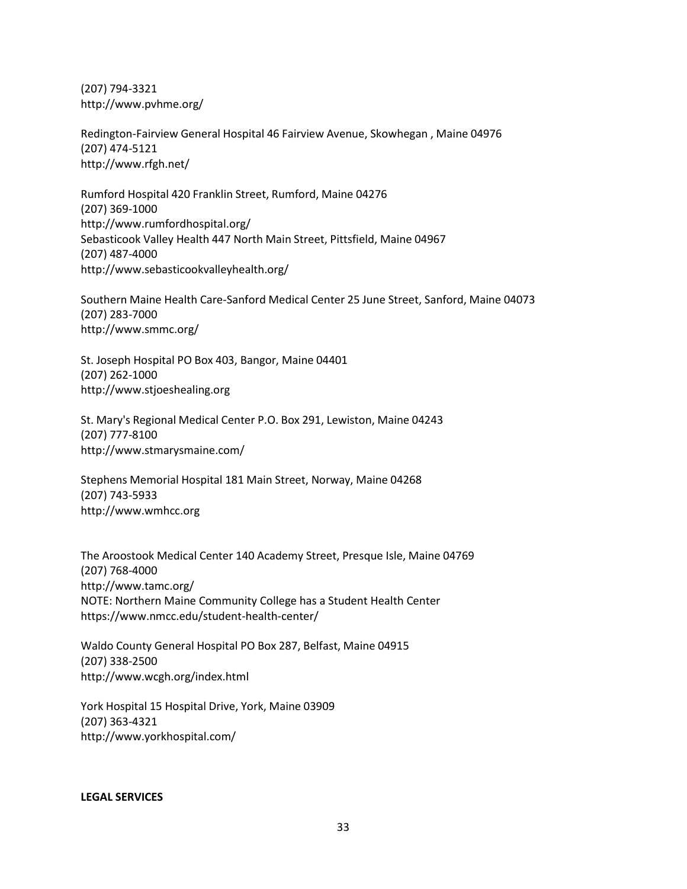(207) 794-3321 <http://www.pvhme.org/>

Redington-Fairview General Hospital 46 Fairview Avenue, Skowhegan , Maine 04976 (207) 474-5121 <http://www.rfgh.net/>

Rumford Hospital 420 Franklin Street, Rumford, Maine 04276 (207) 369-1000 <http://www.rumfordhospital.org/> Sebasticook Valley Health 447 North Main Street, Pittsfield, Maine 04967 (207) 487-4000 <http://www.sebasticookvalleyhealth.org/>

Southern Maine Health Care-Sanford Medical Center 25 June Street, Sanford, Maine 04073 (207) 283-7000 <http://www.smmc.org/>

St. Joseph Hospital PO Box 403, Bangor, Maine 04401 (207) 262-1000 [http://www.stjoeshealing.org](http://www.stjoeshealing.org/)

St. Mary's Regional Medical Center P.O. Box 291, Lewiston, Maine 04243 (207) 777-8100 <http://www.stmarysmaine.com/>

Stephens Memorial Hospital 181 Main Street, Norway, Maine 04268 (207) 743-5933 [http://www.wmhcc.org](http://www.wmhcc.org/)

The Aroostook Medical Center 140 Academy Street, Presque Isle, Maine 04769 (207) 768-4000 <http://www.tamc.org/> NOTE: Northern Maine Community College has a Student Health Center https[://www.nmcc.edu/student-health-center/](http://www.nmcc.edu/student-health-center/)

Waldo County General Hospital PO Box 287, Belfast, Maine 04915 (207) 338-2500 <http://www.wcgh.org/index.html>

York Hospital 15 Hospital Drive, York, Maine 03909 (207) 363-4321 <http://www.yorkhospital.com/>

**LEGAL SERVICES**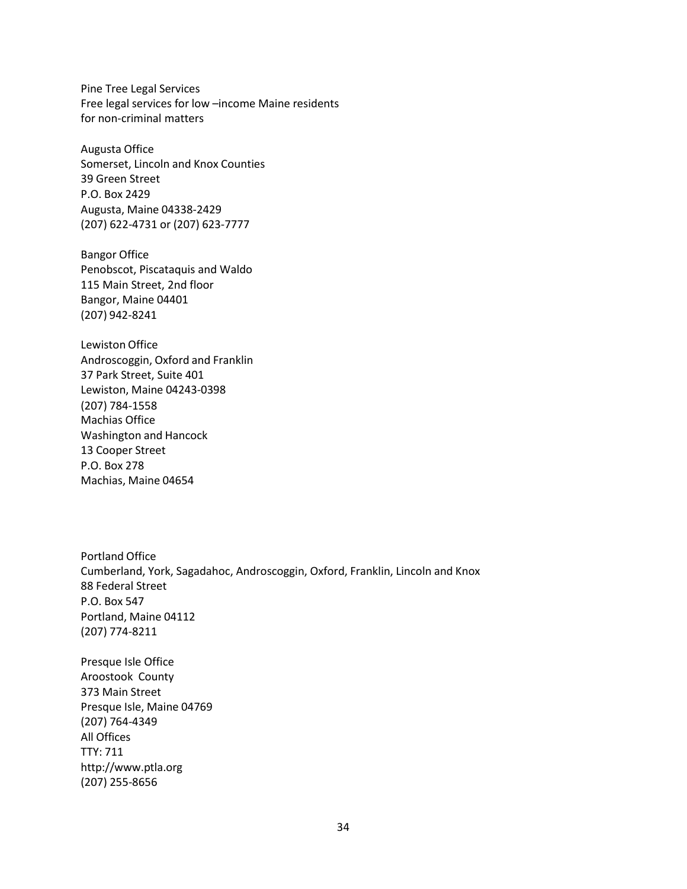Pine Tree Legal Services Free legal services for low –income Maine residents for non-criminal matters

Augusta Office Somerset, Lincoln and Knox Counties 39 Green Street P.O. Box 2429 Augusta, Maine 04338-2429 (207) 622-4731 or (207) 623-7777

Bangor Office Penobscot, Piscataquis and Waldo 115 Main Street, 2nd floor Bangor, Maine 04401 (207) 942-8241

Lewiston Office Androscoggin, Oxford and Franklin 37 Park Street, Suite 401 Lewiston, Maine 04243-0398 (207) 784-1558 Machias Office Washington and Hancock 13 Cooper Street P.O. Box 278 Machias, Maine 04654

Portland Office Cumberland, York, Sagadahoc, Androscoggin, Oxford, Franklin, Lincoln and Knox 88 Federal Street P.O. Box 547 Portland, Maine 04112 (207) 774-8211

Presque Isle Office Aroostook County 373 Main Street Presque Isle, Maine 04769 (207) 764-4349 All Offices TTY: 711 [http://www.ptla.org](http://www.ptla.org/) (207) 255-8656